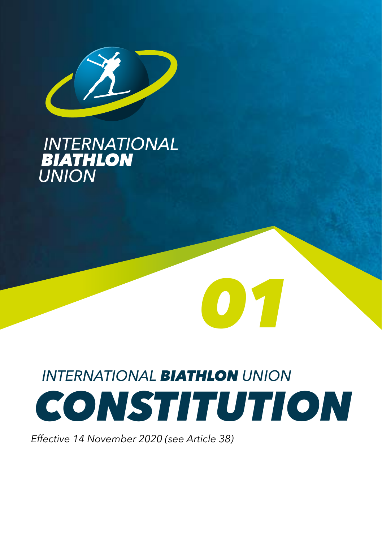

# **INTERNATIONAL<br>BIATHLON<br>UNION**

# *INTERNATIONAL BIATHLON UNION CONSTITUTION*

*01*

*Effective 14 November 2020 (see Article 38)*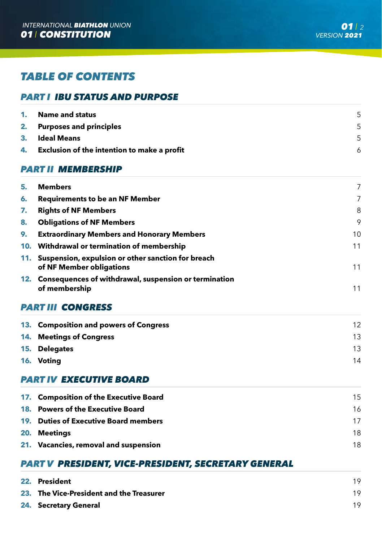# *TABLE OF CONTENTS*

# *PART I IBU STATUS AND PURPOSE*

|    | 1. Name and status                          |  |
|----|---------------------------------------------|--|
|    | 2. Purposes and principles                  |  |
|    | 3. Ideal Means                              |  |
| 4. | Exclusion of the intention to make a profit |  |

# *PART II MEMBERSHIP*

| 5. | <b>Members</b>                                                                     | 7  |
|----|------------------------------------------------------------------------------------|----|
| 6. | <b>Requirements to be an NF Member</b>                                             | 7  |
| 7. | <b>Rights of NF Members</b>                                                        | 8  |
| 8. | <b>Obligations of NF Members</b>                                                   | 9  |
| 9. | <b>Extraordinary Members and Honorary Members</b>                                  | 10 |
|    | 10. Withdrawal or termination of membership                                        | 11 |
|    | 11. Suspension, expulsion or other sanction for breach<br>of NF Member obligations | 11 |
|    | 12. Consequences of withdrawal, suspension or termination<br>of membership         | 11 |

# *PART III CONGRESS*

| 13. Composition and powers of Congress | 12 |
|----------------------------------------|----|
| 14. Meetings of Congress               | 13 |
| 15. Delegates                          | 13 |
| 16. Voting                             | 14 |
|                                        |    |

# *PART IV EXECUTIVE BOARD*

| 17. Composition of the Executive Board | 15 |
|----------------------------------------|----|
| 18. Powers of the Executive Board      | 16 |
| 19. Duties of Executive Board members  | 17 |
| 20. Meetings                           | 18 |
| 21. Vacancies, removal and suspension  | 18 |

# *PART V PRESIDENT, VICE-PRESIDENT, SECRETARY GENERAL*

| 22. President                            | 19 |
|------------------------------------------|----|
| 23. The Vice-President and the Treasurer | 19 |
| 24. Secretary General                    | 19 |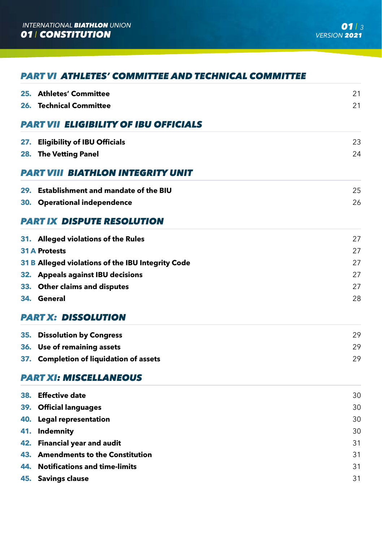# *PART VI ATHLETES' COMMITTEE AND TECHNICAL COMMITTEE*

|     | 25. Athletes' Committee                           | 21 |
|-----|---------------------------------------------------|----|
|     | 26. Technical Committee                           | 21 |
|     | <b>PART VII ELIGIBILITY OF IBU OFFICIALS</b>      |    |
|     | 27. Eligibility of IBU Officials                  | 23 |
|     | 28. The Vetting Panel                             | 24 |
|     | PART VIII BIATHLON INTEGRITY UNIT                 |    |
|     | 29. Establishment and mandate of the BIU          | 25 |
|     | 30. Operational independence                      | 26 |
|     | <b>PART IX DISPUTE RESOLUTION</b>                 |    |
|     | 31. Alleged violations of the Rules               | 27 |
|     | <b>31 A Protests</b>                              | 27 |
|     | 31 B Alleged violations of the IBU Integrity Code | 27 |
|     | 32. Appeals against IBU decisions                 | 27 |
|     | 33. Other claims and disputes                     | 27 |
|     | 34. General                                       | 28 |
|     | <b>PART X: DISSOLUTION</b>                        |    |
|     | 35. Dissolution by Congress                       | 29 |
|     | 36. Use of remaining assets                       | 29 |
|     | 37. Completion of liquidation of assets           | 29 |
|     | <b>PART XI: MISCELLANEOUS</b>                     |    |
|     | 38. Effective date                                | 30 |
|     | 39. Official languages                            | 30 |
|     | 40. Legal representation                          | 30 |
| 41. | Indemnity                                         | 30 |
|     | 42. Financial year and audit                      | 31 |
|     | 43. Amendments to the Constitution                | 31 |
|     | 44. Notifications and time-limits                 | 31 |
|     | 45. Savings clause                                | 31 |
|     |                                                   |    |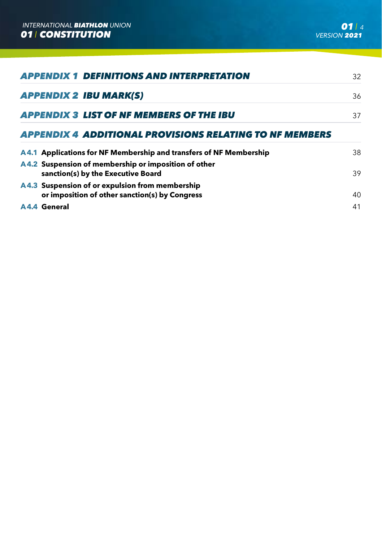| <b>APPENDIX 1 DEFINITIONS AND INTERPRETATION</b>                                                  | 32 |
|---------------------------------------------------------------------------------------------------|----|
| <b>APPENDIX 2 IBU MARK(S)</b>                                                                     | 36 |
| <b>APPENDIX 3 LIST OF NF MEMBERS OF THE IBU</b>                                                   | 37 |
| APPENDIX 4 ADDITIONAL PROVISIONS RELATING TO NF MEMBERS                                           |    |
| A4.1 Applications for NF Membership and transfers of NF Membership                                | 38 |
| A4.2 Suspension of membership or imposition of other<br>sanction(s) by the Executive Board        | 39 |
| A4.3 Suspension of or expulsion from membership<br>or imposition of other sanction(s) by Congress | 40 |

**A 4.4 General** 41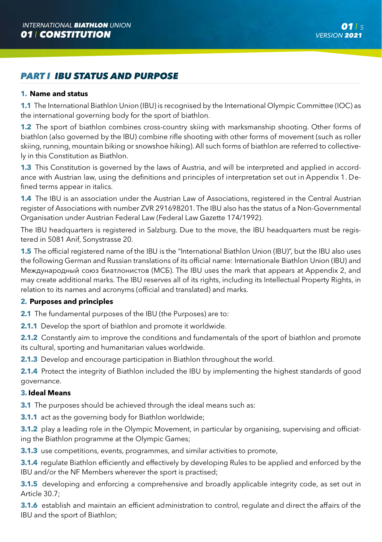# *PART I IBU STATUS AND PURPOSE*

### **1. Name and status**

**1.1** The International Biathlon Union (IBU) is recognised by the International Olympic Committee (IOC) as the international governing body for the sport of biathlon.

**1.2** The sport of biathlon combines cross-country skiing with marksmanship shooting. Other forms of biathlon (also governed by the IBU) combine rifle shooting with other forms of movement (such as roller skiing, running, mountain biking or snowshoe hiking). All such forms of biathlon are referred to collectively in this Constitution as Biathlon.

**1.3** This Constitution is governed by the laws of Austria, and will be interpreted and applied in accordance with Austrian law, using the definitions and principles of interpretation set out in Appendix 1. Defined terms appear in italics.

**1.4** The IBU is an association under the Austrian Law of Associations, registered in the Central Austrian register of Associations with number ZVR 291698201. The IBU also has the status of a Non-Governmental Organisation under Austrian Federal Law (Federal Law Gazette 174/1992).

The IBU headquarters is registered in Salzburg. Due to the move, the IBU headquarters must be registered in 5081 Anif, Sonystrasse 20.

**1.5** The official registered name of the IBU is the "International Biathlon Union (IBU)", but the IBU also uses the following German and Russian translations of its official name: Internationale Biathlon Union (IBU) and Mеждународный союз биатлонистов (MCБ). The IBU uses the mark that appears at Appendix 2, and may create additional marks. The IBU reserves all of its rights, including its Intellectual Property Rights, in relation to its names and acronyms (official and translated) and marks.

#### **2. Purposes and principles**

**2.1** The fundamental purposes of the IBU (the Purposes) are to:

**2.1.1** Develop the sport of biathlon and promote it worldwide.

**2.1.2** Constantly aim to improve the conditions and fundamentals of the sport of biathlon and promote its cultural, sporting and humanitarian values worldwide.

**2.1.3** Develop and encourage participation in Biathlon throughout the world.

**2.1.4** Protect the integrity of Biathlon included the IBU by implementing the highest standards of good governance.

#### **3. Ideal Means**

**3.1** The purposes should be achieved through the ideal means such as:

**3.1.1** act as the governing body for Biathlon worldwide;

**3.1.2** play a leading role in the Olympic Movement, in particular by organising, supervising and officiating the Biathlon programme at the Olympic Games;

**3.1.3** use competitions, events, programmes, and similar activities to promote,

**3.1.4** regulate Biathlon efficiently and effectively by developing Rules to be applied and enforced by the IBU and/or the NF Members wherever the sport is practised;

**3.1.5** developing and enforcing a comprehensive and broadly applicable integrity code, as set out in Article 30.7;

**3.1.6** establish and maintain an efficient administration to control, regulate and direct the affairs of the IBU and the sport of Biathlon;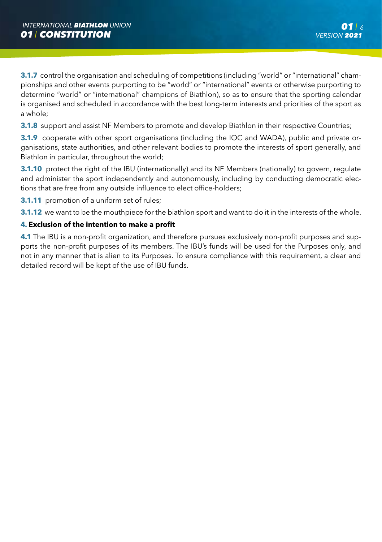**3.1.7** control the organisation and scheduling of competitions (including "world" or "international" championships and other events purporting to be "world" or "international" events or otherwise purporting to determine "world" or "international" champions of Biathlon), so as to ensure that the sporting calendar is organised and scheduled in accordance with the best long-term interests and priorities of the sport as a whole;

**3.1.8** support and assist NF Members to promote and develop Biathlon in their respective Countries;

**3.1.9** cooperate with other sport organisations (including the IOC and WADA), public and private organisations, state authorities, and other relevant bodies to promote the interests of sport generally, and Biathlon in particular, throughout the world;

**3.1.10** protect the right of the IBU (internationally) and its NF Members (nationally) to govern, regulate and administer the sport independently and autonomously, including by conducting democratic elections that are free from any outside influence to elect office-holders;

**3.1.11** promotion of a uniform set of rules;

**3.1.12** we want to be the mouthpiece for the biathlon sport and want to do it in the interests of the whole.

# **4. Exclusion of the intention to make a profit**

**4.1** The IBU is a non-profit organization, and therefore pursues exclusively non-profit purposes and supports the non-profit purposes of its members. The IBU's funds will be used for the Purposes only, and not in any manner that is alien to its Purposes. To ensure compliance with this requirement, a clear and detailed record will be kept of the use of IBU funds.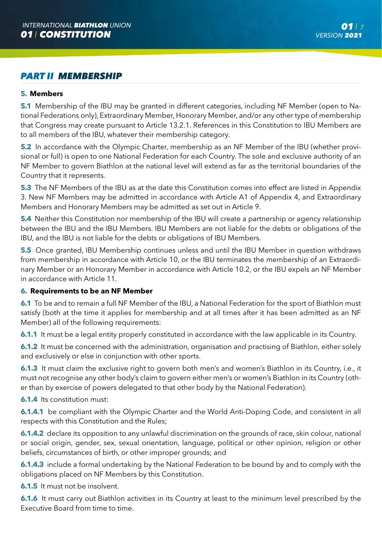# *PART II MEMBERSHIP*

# **5. Members**

**5.1** Membership of the IBU may be granted in different categories, including NF Member (open to National Federations only), Extraordinary Member, Honorary Member, and/or any other type of membership that Congress may create pursuant to Article 13.2.1. References in this Constitution to IBU Members are to all members of the IBU, whatever their membership category.

**5.2** In accordance with the Olympic Charter, membership as an NF Member of the IBU (whether provisional or full) is open to one National Federation for each Country. The sole and exclusive authority of an NF Member to govern Biathlon at the national level will extend as far as the territorial boundaries of the Country that it represents.

**5.3** The NF Members of the IBU as at the date this Constitution comes into effect are listed in Appendix 3. New NF Members may be admitted in accordance with Article A1 of Appendix 4, and Extraordinary Members and Honorary Members may be admitted as set out in Article 9.

**5.4** Neither this Constitution nor membership of the IBU will create a partnership or agency relationship between the IBU and the IBU Members. IBU Members are not liable for the debts or obligations of the IBU, and the IBU is not liable for the debts or obligations of IBU Members.

**5.5** Once granted, IBU Membership continues unless and until the IBU Member in question withdraws from membership in accordance with Article 10, or the IBU terminates the membership of an Extraordinary Member or an Honorary Member in accordance with Article 10.2, or the IBU expels an NF Member in accordance with Article 11.

# **6. Requirements to be an NF Member**

**6.1** To be and to remain a full NF Member of the IBU, a National Federation for the sport of Biathlon must satisfy (both at the time it applies for membership and at all times after it has been admitted as an NF Member) all of the following requirements:

**6.1.1** It must be a legal entity properly constituted in accordance with the law applicable in its Country.

**6.1.2** It must be concerned with the administration, organisation and practising of Biathlon, either solely and exclusively or else in conjunction with other sports.

**6.1.3** It must claim the exclusive right to govern both men's and women's Biathlon in its Country, i.e., it must not recognise any other body's claim to govern either men's or women's Biathlon in its Country (other than by exercise of powers delegated to that other body by the National Federation).

**6.1.4** Its constitution must:

**6.1.4.1** be compliant with the Olympic Charter and the World Anti-Doping Code, and consistent in all respects with this Constitution and the Rules;

**6.1.4.2** declare its opposition to any unlawful discrimination on the grounds of race, skin colour, national or social origin, gender, sex, sexual orientation, language, political or other opinion, religion or other beliefs, circumstances of birth, or other improper grounds; and

**6.1.4.3** include a formal undertaking by the National Federation to be bound by and to comply with the obligations placed on NF Members by this Constitution.

**6.1.5** It must not be insolvent.

**6.1.6** It must carry out Biathlon activities in its Country at least to the minimum level prescribed by the Executive Board from time to time.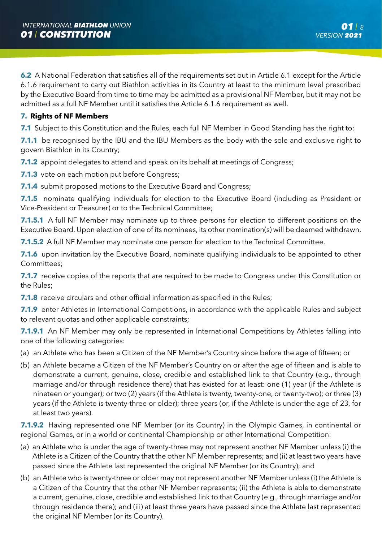**6.2** A National Federation that satisfies all of the requirements set out in Article 6.1 except for the Article 6.1.6 requirement to carry out Biathlon activities in its Country at least to the minimum level prescribed by the Executive Board from time to time may be admitted as a provisional NF Member, but it may not be admitted as a full NF Member until it satisfies the Article 6.1.6 requirement as well.

# **7. Rights of NF Members**

**7.1** Subject to this Constitution and the Rules, each full NF Member in Good Standing has the right to:

**7.1.1** be recognised by the IBU and the IBU Members as the body with the sole and exclusive right to govern Biathlon in its Country;

**7.1.2** appoint delegates to attend and speak on its behalf at meetings of Congress;

**7.1.3** vote on each motion put before Congress;

**7.1.4** submit proposed motions to the Executive Board and Congress;

**7.1.5** nominate qualifying individuals for election to the Executive Board (including as President or Vice-President or Treasurer) or to the Technical Committee;

**7.1.5.1** A full NF Member may nominate up to three persons for election to different positions on the Executive Board. Upon election of one of its nominees, its other nomination(s) will be deemed withdrawn.

**7.1.5.2** A full NF Member may nominate one person for election to the Technical Committee.

**7.1.6** upon invitation by the Executive Board, nominate qualifying individuals to be appointed to other Committees;

**7.1.7** receive copies of the reports that are required to be made to Congress under this Constitution or the Rules;

**7.1.8** receive circulars and other official information as specified in the Rules:

**7.1.9** enter Athletes in International Competitions, in accordance with the applicable Rules and subject to relevant quotas and other applicable constraints;

**7.1.9.1** An NF Member may only be represented in International Competitions by Athletes falling into one of the following categories:

- (a) an Athlete who has been a Citizen of the NF Member's Country since before the age of fifteen; or
- (b) an Athlete became a Citizen of the NF Member's Country on or after the age of fifteen and is able to demonstrate a current, genuine, close, credible and established link to that Country (e.g., through marriage and/or through residence there) that has existed for at least: one (1) year (if the Athlete is nineteen or younger); or two (2) years (if the Athlete is twenty, twenty-one, or twenty-two); or three (3) years (if the Athlete is twenty-three or older); three years (or, if the Athlete is under the age of 23, for at least two years).

**7.1.9.2** Having represented one NF Member (or its Country) in the Olympic Games, in continental or regional Games, or in a world or continental Championship or other International Competition:

- (a) an Athlete who is under the age of twenty-three may not represent another NF Member unless (i) the Athlete is a Citizen of the Country that the other NF Member represents; and (ii) at least two years have passed since the Athlete last represented the original NF Member (or its Country); and
- (b) an Athlete who is twenty-three or older may not represent another NF Member unless (i) the Athlete is a Citizen of the Country that the other NF Member represents; (ii) the Athlete is able to demonstrate a current, genuine, close, credible and established link to that Country (e.g., through marriage and/or through residence there); and (iii) at least three years have passed since the Athlete last represented the original NF Member (or its Country).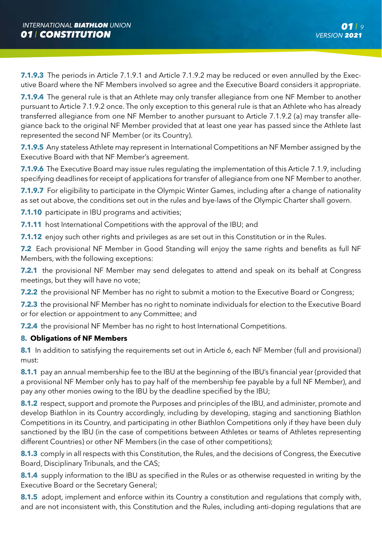**7.1.9.3** The periods in Article 7.1.9.1 and Article 7.1.9.2 may be reduced or even annulled by the Executive Board where the NF Members involved so agree and the Executive Board considers it appropriate.

**7.1.9.4** The general rule is that an Athlete may only transfer allegiance from one NF Member to another pursuant to Article 7.1.9.2 once. The only exception to this general rule is that an Athlete who has already transferred allegiance from one NF Member to another pursuant to Article 7.1.9.2 (a) may transfer allegiance back to the original NF Member provided that at least one year has passed since the Athlete last represented the second NF Member (or its Country).

**7.1.9.5** Any stateless Athlete may represent in International Competitions an NF Member assigned by the Executive Board with that NF Member's agreement.

**7.1.9.6** The Executive Board may issue rules regulating the implementation of this Article 7.1.9, including specifying deadlines for receipt of applications for transfer of allegiance from one NF Member to another.

**7.1.9.7** For eligibility to participate in the Olympic Winter Games, including after a change of nationality as set out above, the conditions set out in the rules and bye-laws of the Olympic Charter shall govern.

**7.1.10** participate in IBU programs and activities;

**7.1.11** host International Competitions with the approval of the IBU; and

**7.1.12** enjoy such other rights and privileges as are set out in this Constitution or in the Rules.

**7.2** Each provisional NF Member in Good Standing will enjoy the same rights and benefits as full NF Members, with the following exceptions:

**7.2.1** the provisional NF Member may send delegates to attend and speak on its behalf at Congress meetings, but they will have no vote;

**7.2.2** the provisional NF Member has no right to submit a motion to the Executive Board or Congress;

**7.2.3** the provisional NF Member has no right to nominate individuals for election to the Executive Board or for election or appointment to any Committee; and

**7.2.4** the provisional NF Member has no right to host International Competitions.

# **8. Obligations of NF Members**

**8.1** In addition to satisfying the requirements set out in Article 6, each NF Member (full and provisional) must:

**8.1.1** pay an annual membership fee to the IBU at the beginning of the IBU's financial year (provided that a provisional NF Member only has to pay half of the membership fee payable by a full NF Member), and pay any other monies owing to the IBU by the deadline specified by the IBU;

**8.1.2** respect, support and promote the Purposes and principles of the IBU, and administer, promote and develop Biathlon in its Country accordingly, including by developing, staging and sanctioning Biathlon Competitions in its Country, and participating in other Biathlon Competitions only if they have been duly sanctioned by the IBU (in the case of competitions between Athletes or teams of Athletes representing different Countries) or other NF Members (in the case of other competitions);

**8.1.3** comply in all respects with this Constitution, the Rules, and the decisions of Congress, the Executive Board, Disciplinary Tribunals, and the CAS;

**8.1.4** supply information to the IBU as specified in the Rules or as otherwise requested in writing by the Executive Board or the Secretary General;

**8.1.5** adopt, implement and enforce within its Country a constitution and regulations that comply with, and are not inconsistent with, this Constitution and the Rules, including anti-doping regulations that are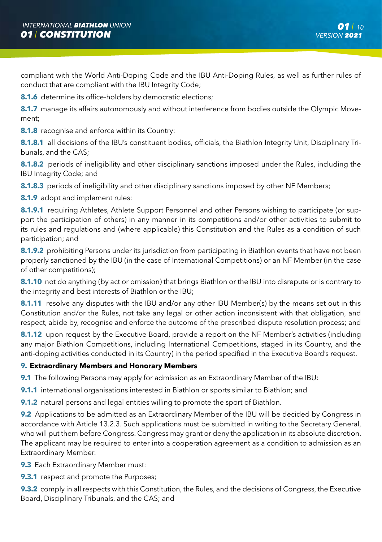compliant with the World Anti-Doping Code and the IBU Anti-Doping Rules, as well as further rules of conduct that are compliant with the IBU Integrity Code;

**8.1.6** determine its office-holders by democratic elections;

**8.1.7** manage its affairs autonomously and without interference from bodies outside the Olympic Movement;

**8.1.8** recognise and enforce within its Country:

**8.1.8.1** all decisions of the IBU's constituent bodies, officials, the Biathlon Integrity Unit, Disciplinary Tribunals, and the CAS;

**8.1.8.2** periods of ineligibility and other disciplinary sanctions imposed under the Rules, including the IBU Integrity Code; and

**8.1.8.3** periods of ineligibility and other disciplinary sanctions imposed by other NF Members;

**8.1.9** adopt and implement rules:

**8.1.9.1** requiring Athletes, Athlete Support Personnel and other Persons wishing to participate (or support the participation of others) in any manner in its competitions and/or other activities to submit to its rules and regulations and (where applicable) this Constitution and the Rules as a condition of such participation; and

**8.1.9.2** prohibiting Persons under its jurisdiction from participating in Biathlon events that have not been properly sanctioned by the IBU (in the case of International Competitions) or an NF Member (in the case of other competitions);

**8.1.10** not do anything (by act or omission) that brings Biathlon or the IBU into disrepute or is contrary to the integrity and best interests of Biathlon or the IBU;

**8.1.11** resolve any disputes with the IBU and/or any other IBU Member(s) by the means set out in this Constitution and/or the Rules, not take any legal or other action inconsistent with that obligation, and respect, abide by, recognise and enforce the outcome of the prescribed dispute resolution process; and

**8.1.12** upon request by the Executive Board, provide a report on the NF Member's activities (including any major Biathlon Competitions, including International Competitions, staged in its Country, and the anti-doping activities conducted in its Country) in the period specified in the Executive Board's request.

# **9. Extraordinary Members and Honorary Members**

**9.1** The following Persons may apply for admission as an Extraordinary Member of the IBU:

**9.1.1** international organisations interested in Biathlon or sports similar to Biathlon; and

**9.1.2** natural persons and legal entities willing to promote the sport of Biathlon.

**9.2** Applications to be admitted as an Extraordinary Member of the IBU will be decided by Congress in accordance with Article 13.2.3. Such applications must be submitted in writing to the Secretary General, who will put them before Congress. Congress may grant or deny the application in its absolute discretion. The applicant may be required to enter into a cooperation agreement as a condition to admission as an Extraordinary Member.

**9.3** Each Extraordinary Member must:

**9.3.1** respect and promote the Purposes;

**9.3.2** comply in all respects with this Constitution, the Rules, and the decisions of Congress, the Executive Board, Disciplinary Tribunals, and the CAS; and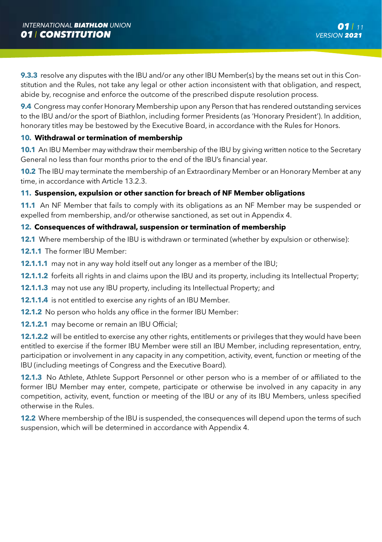**9.3.3** resolve any disputes with the IBU and/or any other IBU Member(s) by the means set out in this Constitution and the Rules, not take any legal or other action inconsistent with that obligation, and respect, abide by, recognise and enforce the outcome of the prescribed dispute resolution process.

**9.4** Congress may confer Honorary Membership upon any Person that has rendered outstanding services to the IBU and/or the sport of Biathlon, including former Presidents (as 'Honorary President'). In addition, honorary titles may be bestowed by the Executive Board, in accordance with the Rules for Honors.

# **10. Withdrawal or termination of membership**

**10.1** An IBU Member may withdraw their membership of the IBU by giving written notice to the Secretary General no less than four months prior to the end of the IBU's financial year.

**10.2** The IBU may terminate the membership of an Extraordinary Member or an Honorary Member at any time, in accordance with Article 13.2.3.

# **11. Suspension, expulsion or other sanction for breach of NF Member obligations**

**11.1** An NF Member that fails to comply with its obligations as an NF Member may be suspended or expelled from membership, and/or otherwise sanctioned, as set out in Appendix 4.

# **12. Consequences of withdrawal, suspension or termination of membership**

**12.1** Where membership of the IBU is withdrawn or terminated (whether by expulsion or otherwise):

- **12.1.1** The former IBU Member:
- **12.1.1.1** may not in any way hold itself out any longer as a member of the IBU;
- **12.1.1.2** forfeits all rights in and claims upon the IBU and its property, including its Intellectual Property;
- **12.1.1.3** may not use any IBU property, including its Intellectual Property; and
- **12.1.1.4** is not entitled to exercise any rights of an IBU Member.
- **12.1.2** No person who holds any office in the former IBU Member:
- **12.1.2.1** may become or remain an IBU Official;

**12.1.2.2** will be entitled to exercise any other rights, entitlements or privileges that they would have been entitled to exercise if the former IBU Member were still an IBU Member, including representation, entry, participation or involvement in any capacity in any competition, activity, event, function or meeting of the IBU (including meetings of Congress and the Executive Board).

**12.1.3** No Athlete, Athlete Support Personnel or other person who is a member of or affiliated to the former IBU Member may enter, compete, participate or otherwise be involved in any capacity in any competition, activity, event, function or meeting of the IBU or any of its IBU Members, unless specified otherwise in the Rules.

**12.2** Where membership of the IBU is suspended, the consequences will depend upon the terms of such suspension, which will be determined in accordance with Appendix 4.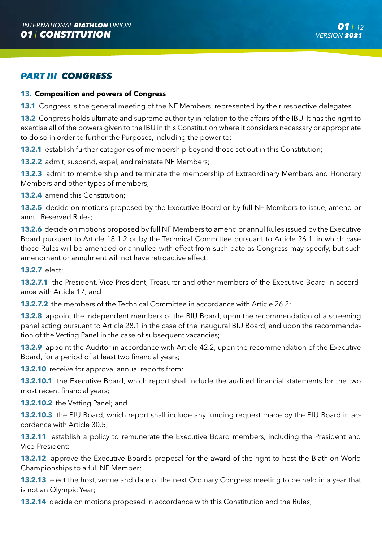# *PART III CONGRESS*

### **13. Composition and powers of Congress**

**13.1** Congress is the general meeting of the NF Members, represented by their respective delegates.

**13.2** Congress holds ultimate and supreme authority in relation to the affairs of the IBU. It has the right to exercise all of the powers given to the IBU in this Constitution where it considers necessary or appropriate to do so in order to further the Purposes, including the power to:

**13.2.1** establish further categories of membership beyond those set out in this Constitution;

**13.2.2** admit, suspend, expel, and reinstate NF Members;

**13.2.3** admit to membership and terminate the membership of Extraordinary Members and Honorary Members and other types of members;

13.2.4 amend this Constitution;

**13.2.5** decide on motions proposed by the Executive Board or by full NF Members to issue, amend or annul Reserved Rules;

**13.2.6** decide on motions proposed by full NF Members to amend or annul Rules issued by the Executive Board pursuant to Article 18.1.2 or by the Technical Committee pursuant to Article 26.1, in which case those Rules will be amended or annulled with effect from such date as Congress may specify, but such amendment or annulment will not have retroactive effect;

**13.2.7** elect:

**13.2.7.1** the President, Vice-President, Treasurer and other members of the Executive Board in accordance with Article 17; and

**13.2.7.2** the members of the Technical Committee in accordance with Article 26.2;

**13.2.8** appoint the independent members of the BIU Board, upon the recommendation of a screening panel acting pursuant to Article 28.1 in the case of the inaugural BIU Board, and upon the recommendation of the Vetting Panel in the case of subsequent vacancies;

**13.2.9** appoint the Auditor in accordance with Article 42.2, upon the recommendation of the Executive Board, for a period of at least two financial years;

**13.2.10** receive for approval annual reports from:

**13.2.10.1** the Executive Board, which report shall include the audited financial statements for the two most recent financial years;

**13.2.10.2** the Vetting Panel; and

**13.2.10.3** the BIU Board, which report shall include any funding request made by the BIU Board in accordance with Article 30.5;

**13.2.11** establish a policy to remunerate the Executive Board members, including the President and Vice-President;

**13.2.12** approve the Executive Board's proposal for the award of the right to host the Biathlon World Championships to a full NF Member;

**13.2.13** elect the host, venue and date of the next Ordinary Congress meeting to be held in a year that is not an Olympic Year;

**13.2.14** decide on motions proposed in accordance with this Constitution and the Rules;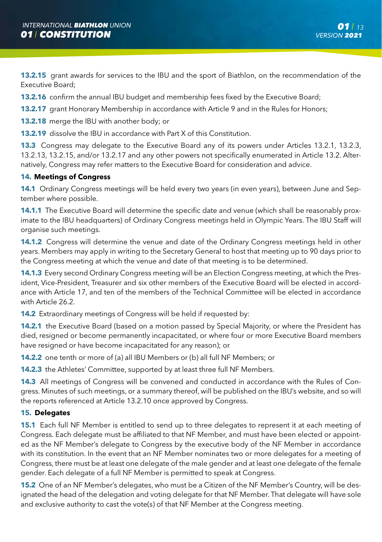**13.2.15** grant awards for services to the IBU and the sport of Biathlon, on the recommendation of the Executive Board;

**13.2.16** confirm the annual IBU budget and membership fees fixed by the Executive Board;

**13.2.17** grant Honorary Membership in accordance with Article 9 and in the Rules for Honors;

**13.2.18** merge the IBU with another body; or

**13.2.19** dissolve the IBU in accordance with Part X of this Constitution.

**13.3** Congress may delegate to the Executive Board any of its powers under Articles 13.2.1, 13.2.3, 13.2.13, 13.2.15, and/or 13.2.17 and any other powers not specifically enumerated in Article 13.2. Alternatively, Congress may refer matters to the Executive Board for consideration and advice.

# **14. Meetings of Congress**

**14.1** Ordinary Congress meetings will be held every two years (in even years), between June and September where possible.

**14.1.1** The Executive Board will determine the specific date and venue (which shall be reasonably proximate to the IBU headquarters) of Ordinary Congress meetings held in Olympic Years. The IBU Staff will organise such meetings.

**14.1.2** Congress will determine the venue and date of the Ordinary Congress meetings held in other years. Members may apply in writing to the Secretary General to host that meeting up to 90 days prior to the Congress meeting at which the venue and date of that meeting is to be determined.

**14.1.3** Every second Ordinary Congress meeting will be an Election Congress meeting, at which the President, Vice-President, Treasurer and six other members of the Executive Board will be elected in accordance with Article 17, and ten of the members of the Technical Committee will be elected in accordance with Article 26.2.

**14.2** Extraordinary meetings of Congress will be held if requested by:

**14.2.1** the Executive Board (based on a motion passed by Special Majority, or where the President has died, resigned or become permanently incapacitated, or where four or more Executive Board members have resigned or have become incapacitated for any reason); or

**14.2.2** one tenth or more of (a) all IBU Members or (b) all full NF Members; or

**14.2.3** the Athletes' Committee, supported by at least three full NF Members.

**14.3** All meetings of Congress will be convened and conducted in accordance with the Rules of Congress. Minutes of such meetings, or a summary thereof, will be published on the IBU's website, and so will the reports referenced at Article 13.2.10 once approved by Congress.

# **15. Delegates**

**15.1** Each full NF Member is entitled to send up to three delegates to represent it at each meeting of Congress. Each delegate must be affiliated to that NF Member, and must have been elected or appointed as the NF Member's delegate to Congress by the executive body of the NF Member in accordance with its constitution. In the event that an NF Member nominates two or more delegates for a meeting of Congress, there must be at least one delegate of the male gender and at least one delegate of the female gender. Each delegate of a full NF Member is permitted to speak at Congress.

**15.2** One of an NF Member's delegates, who must be a Citizen of the NF Member's Country, will be designated the head of the delegation and voting delegate for that NF Member. That delegate will have sole and exclusive authority to cast the vote(s) of that NF Member at the Congress meeting.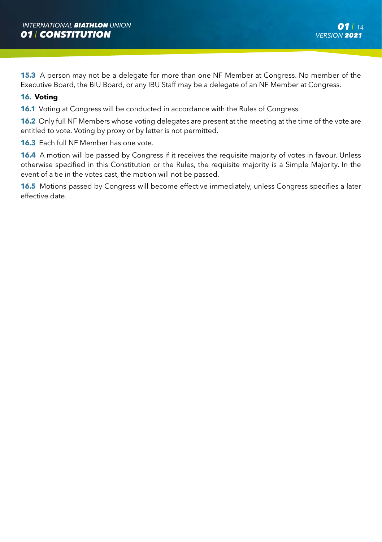**15.3** A person may not be a delegate for more than one NF Member at Congress. No member of the Executive Board, the BIU Board, or any IBU Staff may be a delegate of an NF Member at Congress.

# **16. Voting**

**16.1** Voting at Congress will be conducted in accordance with the Rules of Congress.

**16.2** Only full NF Members whose voting delegates are present at the meeting at the time of the vote are entitled to vote. Voting by proxy or by letter is not permitted.

**16.3** Each full NF Member has one vote.

**16.4** A motion will be passed by Congress if it receives the requisite majority of votes in favour. Unless otherwise specified in this Constitution or the Rules, the requisite majority is a Simple Majority. In the event of a tie in the votes cast, the motion will not be passed.

**16.5** Motions passed by Congress will become effective immediately, unless Congress specifies a later effective date.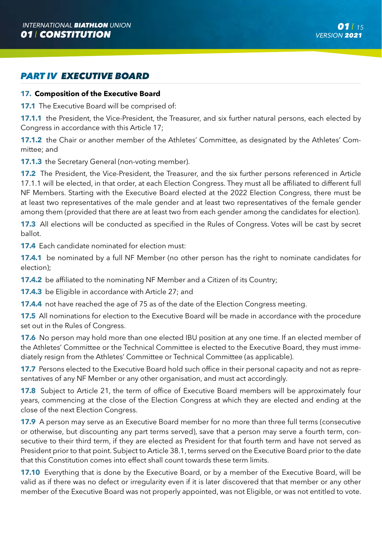# *PART IV EXECUTIVE BOARD*

#### **17. Composition of the Executive Board**

**17.1** The Executive Board will be comprised of:

**17.1.1** the President, the Vice-President, the Treasurer, and six further natural persons, each elected by Congress in accordance with this Article 17;

**17.1.2** the Chair or another member of the Athletes' Committee, as designated by the Athletes' Committee; and

**17.1.3** the Secretary General (non-voting member).

**17.2** The President, the Vice-President, the Treasurer, and the six further persons referenced in Article 17.1.1 will be elected, in that order, at each Election Congress. They must all be affiliated to different full NF Members. Starting with the Executive Board elected at the 2022 Election Congress, there must be at least two representatives of the male gender and at least two representatives of the female gender among them (provided that there are at least two from each gender among the candidates for election).

**17.3** All elections will be conducted as specified in the Rules of Congress. Votes will be cast by secret ballot.

**17.4** Each candidate nominated for election must:

**17.4.1** be nominated by a full NF Member (no other person has the right to nominate candidates for election);

**17.4.2** be affiliated to the nominating NF Member and a Citizen of its Country:

**17.4.3** be Eligible in accordance with Article 27; and

**17.4.4** not have reached the age of 75 as of the date of the Election Congress meeting.

**17.5** All nominations for election to the Executive Board will be made in accordance with the procedure set out in the Rules of Congress.

**17.6** No person may hold more than one elected IBU position at any one time. If an elected member of the Athletes' Committee or the Technical Committee is elected to the Executive Board, they must immediately resign from the Athletes' Committee or Technical Committee (as applicable).

**17.7** Persons elected to the Executive Board hold such office in their personal capacity and not as representatives of any NF Member or any other organisation, and must act accordingly.

**17.8** Subject to Article 21, the term of office of Executive Board members will be approximately four years, commencing at the close of the Election Congress at which they are elected and ending at the close of the next Election Congress.

**17.9** A person may serve as an Executive Board member for no more than three full terms (consecutive or otherwise, but discounting any part terms served), save that a person may serve a fourth term, consecutive to their third term, if they are elected as President for that fourth term and have not served as President prior to that point. Subject to Article 38.1, terms served on the Executive Board prior to the date that this Constitution comes into effect shall count towards these term limits.

**17.10** Everything that is done by the Executive Board, or by a member of the Executive Board, will be valid as if there was no defect or irregularity even if it is later discovered that that member or any other member of the Executive Board was not properly appointed, was not Eligible, or was not entitled to vote.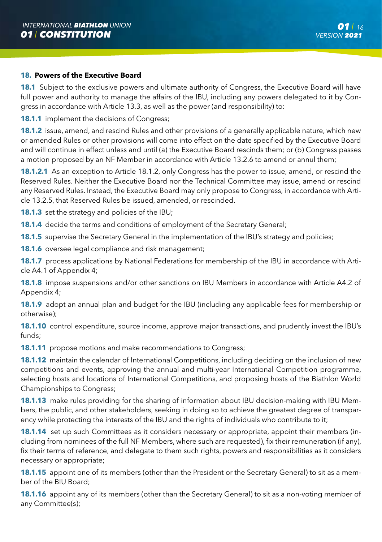### **18. Powers of the Executive Board**

**18.1** Subject to the exclusive powers and ultimate authority of Congress, the Executive Board will have full power and authority to manage the affairs of the IBU, including any powers delegated to it by Congress in accordance with Article 13.3, as well as the power (and responsibility) to:

**18.1.1** implement the decisions of Congress;

**18.1.2** issue, amend, and rescind Rules and other provisions of a generally applicable nature, which new or amended Rules or other provisions will come into effect on the date specified by the Executive Board and will continue in effect unless and until (a) the Executive Board rescinds them; or (b) Congress passes a motion proposed by an NF Member in accordance with Article 13.2.6 to amend or annul them;

**18.1.2.1** As an exception to Article 18.1.2, only Congress has the power to issue, amend, or rescind the Reserved Rules. Neither the Executive Board nor the Technical Committee may issue, amend or rescind any Reserved Rules. Instead, the Executive Board may only propose to Congress, in accordance with Article 13.2.5, that Reserved Rules be issued, amended, or rescinded.

**18.1.3** set the strategy and policies of the IBU;

**18.1.4** decide the terms and conditions of employment of the Secretary General;

**18.1.5** supervise the Secretary General in the implementation of the IBU's strategy and policies;

**18.1.6** oversee legal compliance and risk management;

**18.1.7** process applications by National Federations for membership of the IBU in accordance with Article A4.1 of Appendix 4;

**18.1.8** impose suspensions and/or other sanctions on IBU Members in accordance with Article A4.2 of Appendix 4;

**18.1.9** adopt an annual plan and budget for the IBU (including any applicable fees for membership or otherwise);

**18.1.10** control expenditure, source income, approve major transactions, and prudently invest the IBU's funds;

**18.1.11** propose motions and make recommendations to Congress;

**18.1.12** maintain the calendar of International Competitions, including deciding on the inclusion of new competitions and events, approving the annual and multi-year International Competition programme, selecting hosts and locations of International Competitions, and proposing hosts of the Biathlon World Championships to Congress;

**18.1.13** make rules providing for the sharing of information about IBU decision-making with IBU Members, the public, and other stakeholders, seeking in doing so to achieve the greatest degree of transparency while protecting the interests of the IBU and the rights of individuals who contribute to it;

**18.1.14** set up such Committees as it considers necessary or appropriate, appoint their members (including from nominees of the full NF Members, where such are requested), fix their remuneration (if any), fix their terms of reference, and delegate to them such rights, powers and responsibilities as it considers necessary or appropriate;

**18.1.15** appoint one of its members (other than the President or the Secretary General) to sit as a member of the BIU Board;

**18.1.16** appoint any of its members (other than the Secretary General) to sit as a non-voting member of any Committee(s);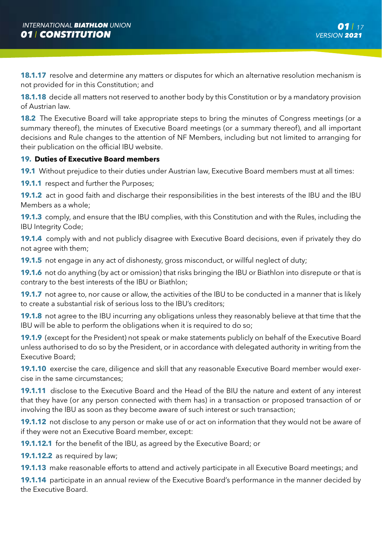**18.1.17** resolve and determine any matters or disputes for which an alternative resolution mechanism is not provided for in this Constitution; and

**18.1.18** decide all matters not reserved to another body by this Constitution or by a mandatory provision of Austrian law.

**18.2** The Executive Board will take appropriate steps to bring the minutes of Congress meetings (or a summary thereof), the minutes of Executive Board meetings (or a summary thereof), and all important decisions and Rule changes to the attention of NF Members, including but not limited to arranging for their publication on the official IBU website.

# **19. Duties of Executive Board members**

**19.1** Without prejudice to their duties under Austrian law, Executive Board members must at all times:

**19.1.1** respect and further the Purposes;

**19.1.2** act in good faith and discharge their responsibilities in the best interests of the IBU and the IBU Members as a whole;

**19.1.3** comply, and ensure that the IBU complies, with this Constitution and with the Rules, including the IBU Integrity Code;

**19.1.4** comply with and not publicly disagree with Executive Board decisions, even if privately they do not agree with them;

**19.1.5** not engage in any act of dishonesty, gross misconduct, or willful neglect of duty;

**19.1.6** not do anything (by act or omission) that risks bringing the IBU or Biathlon into disrepute or that is contrary to the best interests of the IBU or Biathlon;

**19.1.7** not agree to, nor cause or allow, the activities of the IBU to be conducted in a manner that is likely to create a substantial risk of serious loss to the IBU's creditors;

**19.1.8** not agree to the IBU incurring any obligations unless they reasonably believe at that time that the IBU will be able to perform the obligations when it is required to do so;

**19.1.9** (except for the President) not speak or make statements publicly on behalf of the Executive Board unless authorised to do so by the President, or in accordance with delegated authority in writing from the Executive Board;

**19.1.10** exercise the care, diligence and skill that any reasonable Executive Board member would exercise in the same circumstances;

**19.1.11** disclose to the Executive Board and the Head of the BIU the nature and extent of any interest that they have (or any person connected with them has) in a transaction or proposed transaction of or involving the IBU as soon as they become aware of such interest or such transaction;

**19.1.12** not disclose to any person or make use of or act on information that they would not be aware of if they were not an Executive Board member, except:

**19.1.12.1** for the benefit of the IBU, as agreed by the Executive Board; or

**19.1.12.2** as required by law:

**19.1.13** make reasonable efforts to attend and actively participate in all Executive Board meetings; and

**19.1.14** participate in an annual review of the Executive Board's performance in the manner decided by the Executive Board.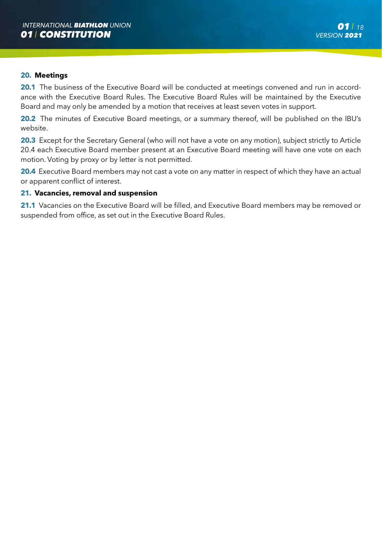#### **20. Meetings**

20.1 The business of the Executive Board will be conducted at meetings convened and run in accordance with the Executive Board Rules. The Executive Board Rules will be maintained by the Executive Board and may only be amended by a motion that receives at least seven votes in support.

**20.2** The minutes of Executive Board meetings, or a summary thereof, will be published on the IBU's website.

20.3 Except for the Secretary General (who will not have a vote on any motion), subject strictly to Article 20.4 each Executive Board member present at an Executive Board meeting will have one vote on each motion. Voting by proxy or by letter is not permitted.

**20.4** Executive Board members may not cast a vote on any matter in respect of which they have an actual or apparent conflict of interest.

#### **21. Vacancies, removal and suspension**

21.1 Vacancies on the Executive Board will be filled, and Executive Board members may be removed or suspended from office, as set out in the Executive Board Rules.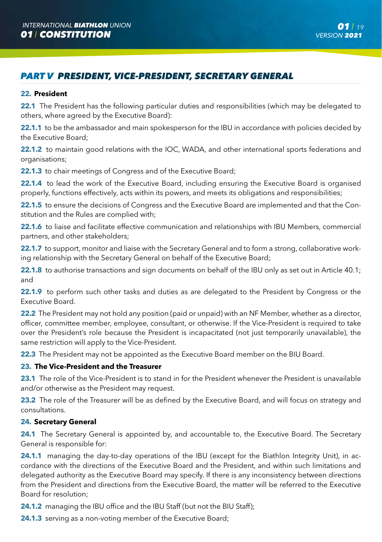# *PART V PRESIDENT, VICE-PRESIDENT, SECRETARY GENERAL*

#### **22. President**

**22.1** The President has the following particular duties and responsibilities (which may be delegated to others, where agreed by the Executive Board):

**22.1.1** to be the ambassador and main spokesperson for the IBU in accordance with policies decided by the Executive Board;

**22.1.2** to maintain good relations with the IOC, WADA, and other international sports federations and organisations;

**22.1.3** to chair meetings of Congress and of the Executive Board;

**22.1.4** to lead the work of the Executive Board, including ensuring the Executive Board is organised properly, functions effectively, acts within its powers, and meets its obligations and responsibilities;

**22.1.5** to ensure the decisions of Congress and the Executive Board are implemented and that the Constitution and the Rules are complied with;

22.1.6 to liaise and facilitate effective communication and relationships with IBU Members, commercial partners, and other stakeholders;

**22.1.7** to support, monitor and liaise with the Secretary General and to form a strong, collaborative working relationship with the Secretary General on behalf of the Executive Board;

**22.1.8** to authorise transactions and sign documents on behalf of the IBU only as set out in Article 40.1; and

22.1.9 to perform such other tasks and duties as are delegated to the President by Congress or the Executive Board.

**22.2** The President may not hold any position (paid or unpaid) with an NF Member, whether as a director, officer, committee member, employee, consultant, or otherwise. If the Vice-President is required to take over the President's role because the President is incapacitated (not just temporarily unavailable), the same restriction will apply to the Vice-President.

**22.3** The President may not be appointed as the Executive Board member on the BIU Board.

#### **23. The Vice-President and the Treasurer**

**23.1** The role of the Vice-President is to stand in for the President whenever the President is unavailable and/or otherwise as the President may request.

23.2 The role of the Treasurer will be as defined by the Executive Board, and will focus on strategy and consultations.

# **24. Secretary General**

24.1 The Secretary General is appointed by, and accountable to, the Executive Board. The Secretary General is responsible for:

**24.1.1** managing the day-to-day operations of the IBU (except for the Biathlon Integrity Unit), in accordance with the directions of the Executive Board and the President, and within such limitations and delegated authority as the Executive Board may specify. If there is any inconsistency between directions from the President and directions from the Executive Board, the matter will be referred to the Executive Board for resolution;

**24.1.2** managing the IBU office and the IBU Staff (but not the BIU Staff);

**24.1.3** serving as a non-voting member of the Executive Board;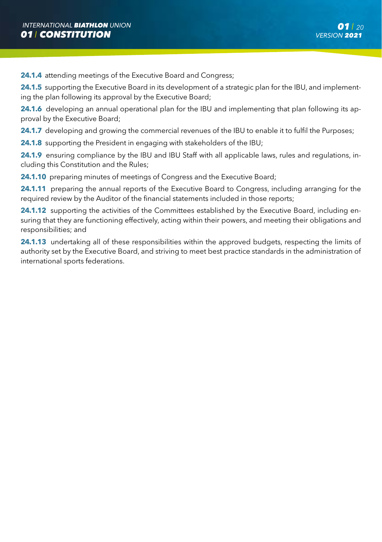**24.1.4** attending meetings of the Executive Board and Congress;

**24.1.5** supporting the Executive Board in its development of a strategic plan for the IBU, and implementing the plan following its approval by the Executive Board;

**24.1.6** developing an annual operational plan for the IBU and implementing that plan following its approval by the Executive Board;

**24.1.7** developing and growing the commercial revenues of the IBU to enable it to fulfil the Purposes;

**24.1.8** supporting the President in engaging with stakeholders of the IBU;

**24.1.9** ensuring compliance by the IBU and IBU Staff with all applicable laws, rules and regulations, including this Constitution and the Rules;

**24.1.10** preparing minutes of meetings of Congress and the Executive Board;

**24.1.11** preparing the annual reports of the Executive Board to Congress, including arranging for the required review by the Auditor of the financial statements included in those reports;

24.1.12 supporting the activities of the Committees established by the Executive Board, including ensuring that they are functioning effectively, acting within their powers, and meeting their obligations and responsibilities; and

**24.1.13** undertaking all of these responsibilities within the approved budgets, respecting the limits of authority set by the Executive Board, and striving to meet best practice standards in the administration of international sports federations.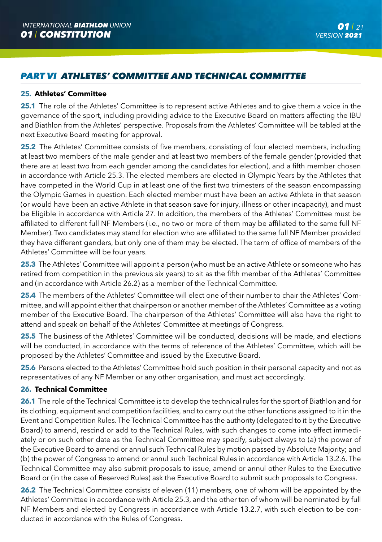# *PART VI ATHLETES' COMMITTEE AND TECHNICAL COMMITTEE*

# **25. Athletes' Committee**

**25.1** The role of the Athletes' Committee is to represent active Athletes and to give them a voice in the governance of the sport, including providing advice to the Executive Board on matters affecting the IBU and Biathlon from the Athletes' perspective. Proposals from the Athletes' Committee will be tabled at the next Executive Board meeting for approval.

**25.2** The Athletes' Committee consists of five members, consisting of four elected members, including at least two members of the male gender and at least two members of the female gender (provided that there are at least two from each gender among the candidates for election), and a fifth member chosen in accordance with Article 25.3. The elected members are elected in Olympic Years by the Athletes that have competed in the World Cup in at least one of the first two trimesters of the season encompassing the Olympic Games in question. Each elected member must have been an active Athlete in that season (or would have been an active Athlete in that season save for injury, illness or other incapacity), and must be Eligible in accordance with Article 27. In addition, the members of the Athletes' Committee must be affiliated to different full NF Members (i.e., no two or more of them may be affiliated to the same full NF Member). Two candidates may stand for election who are affiliated to the same full NF Member provided they have different genders, but only one of them may be elected. The term of office of members of the Athletes' Committee will be four years.

**25.3** The Athletes' Committee will appoint a person (who must be an active Athlete or someone who has retired from competition in the previous six years) to sit as the fifth member of the Athletes' Committee and (in accordance with Article 26.2) as a member of the Technical Committee.

**25.4** The members of the Athletes' Committee will elect one of their number to chair the Athletes' Committee, and will appoint either that chairperson or another member of the Athletes' Committee as a voting member of the Executive Board. The chairperson of the Athletes' Committee will also have the right to attend and speak on behalf of the Athletes' Committee at meetings of Congress.

25.5 The business of the Athletes' Committee will be conducted, decisions will be made, and elections will be conducted, in accordance with the terms of reference of the Athletes' Committee, which will be proposed by the Athletes' Committee and issued by the Executive Board.

25.6 Persons elected to the Athletes' Committee hold such position in their personal capacity and not as representatives of any NF Member or any other organisation, and must act accordingly.

# **26. Technical Committee**

**26.1** The role of the Technical Committee is to develop the technical rules for the sport of Biathlon and for its clothing, equipment and competition facilities, and to carry out the other functions assigned to it in the Event and Competition Rules. The Technical Committee has the authority (delegated to it by the Executive Board) to amend, rescind or add to the Technical Rules, with such changes to come into effect immediately or on such other date as the Technical Committee may specify, subject always to (a) the power of the Executive Board to amend or annul such Technical Rules by motion passed by Absolute Majority; and (b) the power of Congress to amend or annul such Technical Rules in accordance with Article 13.2.6. The Technical Committee may also submit proposals to issue, amend or annul other Rules to the Executive Board or (in the case of Reserved Rules) ask the Executive Board to submit such proposals to Congress.

26.2 The Technical Committee consists of eleven (11) members, one of whom will be appointed by the Athletes' Committee in accordance with Article 25.3, and the other ten of whom will be nominated by full NF Members and elected by Congress in accordance with Article 13.2.7, with such election to be conducted in accordance with the Rules of Congress.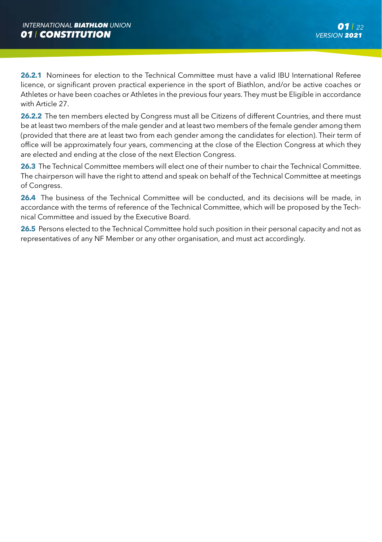**26.2.1** Nominees for election to the Technical Committee must have a valid IBU International Referee licence, or significant proven practical experience in the sport of Biathlon, and/or be active coaches or Athletes or have been coaches or Athletes in the previous four years. They must be Eligible in accordance with Article 27.

**26.2.2** The ten members elected by Congress must all be Citizens of different Countries, and there must be at least two members of the male gender and at least two members of the female gender among them (provided that there are at least two from each gender among the candidates for election). Their term of office will be approximately four years, commencing at the close of the Election Congress at which they are elected and ending at the close of the next Election Congress.

**26.3** The Technical Committee members will elect one of their number to chair the Technical Committee. The chairperson will have the right to attend and speak on behalf of the Technical Committee at meetings of Congress.

26.4 The business of the Technical Committee will be conducted, and its decisions will be made, in accordance with the terms of reference of the Technical Committee, which will be proposed by the Technical Committee and issued by the Executive Board.

26.5 Persons elected to the Technical Committee hold such position in their personal capacity and not as representatives of any NF Member or any other organisation, and must act accordingly.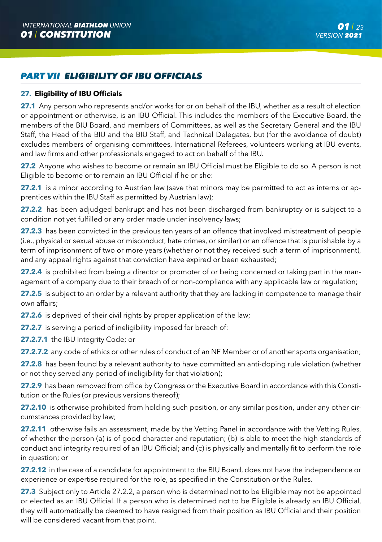# *PART VII ELIGIBILITY OF IBU OFFICIALS*

# **27. Eligibility of IBU Officials**

**27.1** Any person who represents and/or works for or on behalf of the IBU, whether as a result of election or appointment or otherwise, is an IBU Official. This includes the members of the Executive Board, the members of the BIU Board, and members of Committees, as well as the Secretary General and the IBU Staff, the Head of the BIU and the BIU Staff, and Technical Delegates, but (for the avoidance of doubt) excludes members of organising committees, International Referees, volunteers working at IBU events, and law firms and other professionals engaged to act on behalf of the IBU.

**27.2** Anyone who wishes to become or remain an IBU Official must be Eligible to do so. A person is not Eligible to become or to remain an IBU Official if he or she:

**27.2.1** is a minor according to Austrian law (save that minors may be permitted to act as interns or apprentices within the IBU Staff as permitted by Austrian law);

27.2.2 has been adjudged bankrupt and has not been discharged from bankruptcy or is subject to a condition not yet fulfilled or any order made under insolvency laws;

**27.2.3** has been convicted in the previous ten years of an offence that involved mistreatment of people (i.e., physical or sexual abuse or misconduct, hate crimes, or similar) or an offence that is punishable by a term of imprisonment of two or more years (whether or not they received such a term of imprisonment), and any appeal rights against that conviction have expired or been exhausted;

**27.2.4** is prohibited from being a director or promoter of or being concerned or taking part in the management of a company due to their breach of or non-compliance with any applicable law or regulation;

**27.2.5** is subject to an order by a relevant authority that they are lacking in competence to manage their own affairs;

**27.2.6** is deprived of their civil rights by proper application of the law;

**27.2.7** is serving a period of ineligibility imposed for breach of:

27.2.7.1 the IBU Integrity Code; or

**27.2.7.2** any code of ethics or other rules of conduct of an NF Member or of another sports organisation;

**27.2.8** has been found by a relevant authority to have committed an anti-doping rule violation (whether or not they served any period of ineligibility for that violation);

27.2.9 has been removed from office by Congress or the Executive Board in accordance with this Constitution or the Rules (or previous versions thereof);

**27.2.10** is otherwise prohibited from holding such position, or any similar position, under any other circumstances provided by law;

**27.2.11** otherwise fails an assessment, made by the Vetting Panel in accordance with the Vetting Rules, of whether the person (a) is of good character and reputation; (b) is able to meet the high standards of conduct and integrity required of an IBU Official; and (c) is physically and mentally fit to perform the role in question; or

**27.2.12** in the case of a candidate for appointment to the BIU Board, does not have the independence or experience or expertise required for the role, as specified in the Constitution or the Rules.

27.3 Subject only to Article 27.2.2, a person who is determined not to be Eligible may not be appointed or elected as an IBU Official. If a person who is determined not to be Eligible is already an IBU Official, they will automatically be deemed to have resigned from their position as IBU Official and their position will be considered vacant from that point.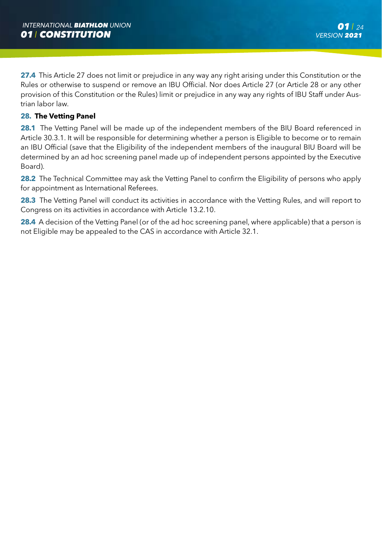**27.4** This Article 27 does not limit or prejudice in any way any right arising under this Constitution or the Rules or otherwise to suspend or remove an IBU Official. Nor does Article 27 (or Article 28 or any other provision of this Constitution or the Rules) limit or prejudice in any way any rights of IBU Staff under Austrian labor law.

# **28. The Vetting Panel**

28.1 The Vetting Panel will be made up of the independent members of the BIU Board referenced in Article 30.3.1. It will be responsible for determining whether a person is Eligible to become or to remain an IBU Official (save that the Eligibility of the independent members of the inaugural BIU Board will be determined by an ad hoc screening panel made up of independent persons appointed by the Executive Board).

**28.2** The Technical Committee may ask the Vetting Panel to confirm the Eligibility of persons who apply for appointment as International Referees.

**28.3** The Vetting Panel will conduct its activities in accordance with the Vetting Rules, and will report to Congress on its activities in accordance with Article 13.2.10.

**28.4** A decision of the Vetting Panel (or of the ad hoc screening panel, where applicable) that a person is not Eligible may be appealed to the CAS in accordance with Article 32.1.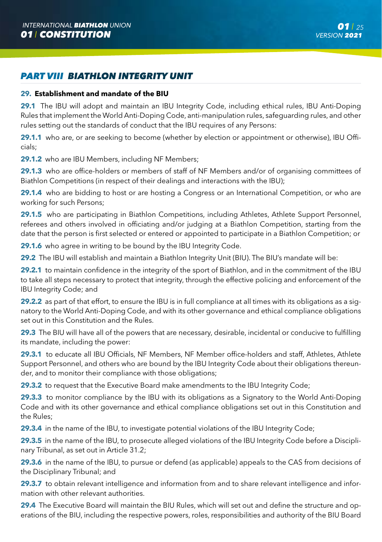# *PART VIII BIATHLON INTEGRITY UNIT*

# **29. Establishment and mandate of the BIU**

**29.1** The IBU will adopt and maintain an IBU Integrity Code, including ethical rules, IBU Anti-Doping Rules that implement the World Anti-Doping Code, anti-manipulation rules, safeguarding rules, and other rules setting out the standards of conduct that the IBU requires of any Persons:

**29.1.1** who are, or are seeking to become (whether by election or appointment or otherwise), IBU Officials;

29.1.2 who are IBU Members, including NF Members;

**29.1.3** who are office-holders or members of staff of NF Members and/or of organising committees of Biathlon Competitions (in respect of their dealings and interactions with the IBU);

**29.1.4** who are bidding to host or are hosting a Congress or an International Competition, or who are working for such Persons;

**29.1.5** who are participating in Biathlon Competitions, including Athletes, Athlete Support Personnel, referees and others involved in officiating and/or judging at a Biathlon Competition, starting from the date that the person is first selected or entered or appointed to participate in a Biathlon Competition; or

**29.1.6** who agree in writing to be bound by the IBU Integrity Code.

**29.2** The IBU will establish and maintain a Biathlon Integrity Unit (BIU). The BIU's mandate will be:

**29.2.1** to maintain confidence in the integrity of the sport of Biathlon, and in the commitment of the IBU to take all steps necessary to protect that integrity, through the effective policing and enforcement of the IBU Integrity Code; and

**29.2.2** as part of that effort, to ensure the IBU is in full compliance at all times with its obligations as a signatory to the World Anti-Doping Code, and with its other governance and ethical compliance obligations set out in this Constitution and the Rules.

**29.3** The BIU will have all of the powers that are necessary, desirable, incidental or conducive to fulfilling its mandate, including the power:

**29.3.1** to educate all IBU Officials, NF Members, NF Member office-holders and staff, Athletes, Athlete Support Personnel, and others who are bound by the IBU Integrity Code about their obligations thereunder, and to monitor their compliance with those obligations;

**29.3.2** to request that the Executive Board make amendments to the IBU Integrity Code;

**29.3.3** to monitor compliance by the IBU with its obligations as a Signatory to the World Anti-Doping Code and with its other governance and ethical compliance obligations set out in this Constitution and the Rules;

**29.3.4** in the name of the IBU, to investigate potential violations of the IBU Integrity Code;

**29.3.5** in the name of the IBU, to prosecute alleged violations of the IBU Integrity Code before a Disciplinary Tribunal, as set out in Article 31.2;

**29.3.6** in the name of the IBU, to pursue or defend (as applicable) appeals to the CAS from decisions of the Disciplinary Tribunal; and

**29.3.7** to obtain relevant intelligence and information from and to share relevant intelligence and information with other relevant authorities.

**29.4** The Executive Board will maintain the BIU Rules, which will set out and define the structure and operations of the BIU, including the respective powers, roles, responsibilities and authority of the BIU Board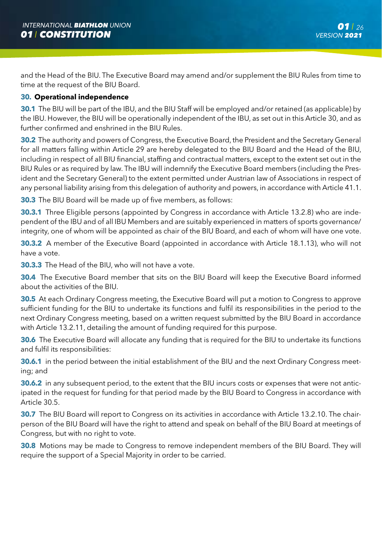and the Head of the BIU. The Executive Board may amend and/or supplement the BIU Rules from time to time at the request of the BIU Board.

# **30. Operational independence**

**30.1** The BIU will be part of the IBU, and the BIU Staff will be employed and/or retained (as applicable) by the IBU. However, the BIU will be operationally independent of the IBU, as set out in this Article 30, and as further confirmed and enshrined in the BIU Rules.

**30.2** The authority and powers of Congress, the Executive Board, the President and the Secretary General for all matters falling within Article 29 are hereby delegated to the BIU Board and the Head of the BIU, including in respect of all BIU financial, staffing and contractual matters, except to the extent set out in the BIU Rules or as required by law. The IBU will indemnify the Executive Board members (including the President and the Secretary General) to the extent permitted under Austrian law of Associations in respect of any personal liability arising from this delegation of authority and powers, in accordance with Article 41.1.

**30.3** The BIU Board will be made up of five members, as follows:

**30.3.1** Three Eligible persons (appointed by Congress in accordance with Article 13.2.8) who are independent of the IBU and of all IBU Members and are suitably experienced in matters of sports governance/ integrity, one of whom will be appointed as chair of the BIU Board, and each of whom will have one vote.

**30.3.2** A member of the Executive Board (appointed in accordance with Article 18.1.13), who will not have a vote.

**30.3.3** The Head of the BIU, who will not have a vote.

**30.4** The Executive Board member that sits on the BIU Board will keep the Executive Board informed about the activities of the BIU.

**30.5** At each Ordinary Congress meeting, the Executive Board will put a motion to Congress to approve sufficient funding for the BIU to undertake its functions and fulfil its responsibilities in the period to the next Ordinary Congress meeting, based on a written request submitted by the BIU Board in accordance with Article 13.2.11, detailing the amount of funding required for this purpose.

**30.6** The Executive Board will allocate any funding that is required for the BIU to undertake its functions and fulfil its responsibilities:

**30.6.1** in the period between the initial establishment of the BIU and the next Ordinary Congress meeting; and

**30.6.2** in any subsequent period, to the extent that the BIU incurs costs or expenses that were not anticipated in the request for funding for that period made by the BIU Board to Congress in accordance with Article 30.5.

**30.7** The BIU Board will report to Congress on its activities in accordance with Article 13.2.10. The chairperson of the BIU Board will have the right to attend and speak on behalf of the BIU Board at meetings of Congress, but with no right to vote.

**30.8** Motions may be made to Congress to remove independent members of the BIU Board. They will require the support of a Special Majority in order to be carried.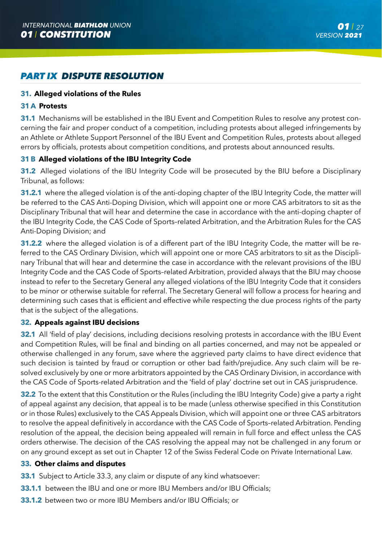# *PART IX DISPUTE RESOLUTION*

# **31. Alleged violations of the Rules**

### **31 A Protests**

**31.1** Mechanisms will be established in the IBU Event and Competition Rules to resolve any protest concerning the fair and proper conduct of a competition, including protests about alleged infringements by an Athlete or Athlete Support Personnel of the IBU Event and Competition Rules, protests about alleged errors by officials, protests about competition conditions, and protests about announced results.

# **31 B Alleged violations of the IBU Integrity Code**

**31.2** Alleged violations of the IBU Integrity Code will be prosecuted by the BIU before a Disciplinary Tribunal, as follows:

**31.2.1** where the alleged violation is of the anti-doping chapter of the IBU Integrity Code, the matter will be referred to the CAS Anti-Doping Division, which will appoint one or more CAS arbitrators to sit as the Disciplinary Tribunal that will hear and determine the case in accordance with the anti-doping chapter of the IBU Integrity Code, the CAS Code of Sports–related Arbitration, and the Arbitration Rules for the CAS Anti-Doping Division; and

**31.2.2** where the alleged violation is of a different part of the IBU Integrity Code, the matter will be referred to the CAS Ordinary Division, which will appoint one or more CAS arbitrators to sit as the Disciplinary Tribunal that will hear and determine the case in accordance with the relevant provisions of the IBU Integrity Code and the CAS Code of Sports–related Arbitration, provided always that the BIU may choose instead to refer to the Secretary General any alleged violations of the IBU Integrity Code that it considers to be minor or otherwise suitable for referral. The Secretary General will follow a process for hearing and determining such cases that is efficient and effective while respecting the due process rights of the party that is the subject of the allegations.

# **32. Appeals against IBU decisions**

**32.1** All 'field of play' decisions, including decisions resolving protests in accordance with the IBU Event and Competition Rules, will be final and binding on all parties concerned, and may not be appealed or otherwise challenged in any forum, save where the aggrieved party claims to have direct evidence that such decision is tainted by fraud or corruption or other bad faith/prejudice. Any such claim will be resolved exclusively by one or more arbitrators appointed by the CAS Ordinary Division, in accordance with the CAS Code of Sports-related Arbitration and the 'field of play' doctrine set out in CAS jurisprudence.

**32.2** To the extent that this Constitution or the Rules (including the IBU Integrity Code) give a party a right of appeal against any decision, that appeal is to be made (unless otherwise specified in this Constitution or in those Rules) exclusively to the CAS Appeals Division, which will appoint one or three CAS arbitrators to resolve the appeal definitively in accordance with the CAS Code of Sports–related Arbitration. Pending resolution of the appeal, the decision being appealed will remain in full force and effect unless the CAS orders otherwise. The decision of the CAS resolving the appeal may not be challenged in any forum or on any ground except as set out in Chapter 12 of the Swiss Federal Code on Private International Law.

# **33. Other claims and disputes**

- **33.1** Subject to Article 33.3, any claim or dispute of any kind whatsoever:
- **33.1.1** between the IBU and one or more IBU Members and/or IBU Officials;
- **33.1.2** between two or more IBU Members and/or IBU Officials; or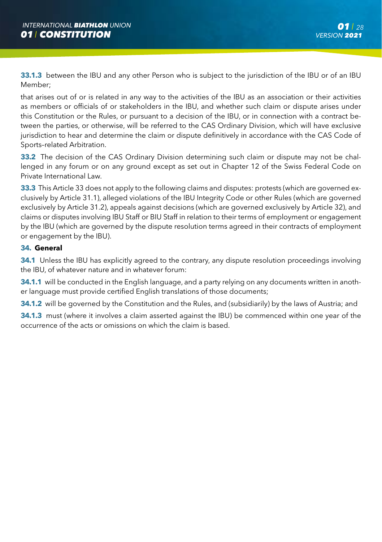**33.1.3** between the IBU and any other Person who is subject to the jurisdiction of the IBU or of an IBU Member;

that arises out of or is related in any way to the activities of the IBU as an association or their activities as members or officials of or stakeholders in the IBU, and whether such claim or dispute arises under this Constitution or the Rules, or pursuant to a decision of the IBU, or in connection with a contract between the parties, or otherwise, will be referred to the CAS Ordinary Division, which will have exclusive jurisdiction to hear and determine the claim or dispute definitively in accordance with the CAS Code of Sports–related Arbitration.

**33.2** The decision of the CAS Ordinary Division determining such claim or dispute may not be challenged in any forum or on any ground except as set out in Chapter 12 of the Swiss Federal Code on Private International Law.

**33.3** This Article 33 does not apply to the following claims and disputes: protests (which are governed exclusively by Article 31.1), alleged violations of the IBU Integrity Code or other Rules (which are governed exclusively by Article 31.2), appeals against decisions (which are governed exclusively by Article 32), and claims or disputes involving IBU Staff or BIU Staff in relation to their terms of employment or engagement by the IBU (which are governed by the dispute resolution terms agreed in their contracts of employment or engagement by the IBU).

# **34. General**

**34.1** Unless the IBU has explicitly agreed to the contrary, any dispute resolution proceedings involving the IBU, of whatever nature and in whatever forum:

**34.1.1** will be conducted in the English language, and a party relying on any documents written in another language must provide certified English translations of those documents;

**34.1.2** will be governed by the Constitution and the Rules, and (subsidiarily) by the laws of Austria; and

**34.1.3** must (where it involves a claim asserted against the IBU) be commenced within one year of the occurrence of the acts or omissions on which the claim is based.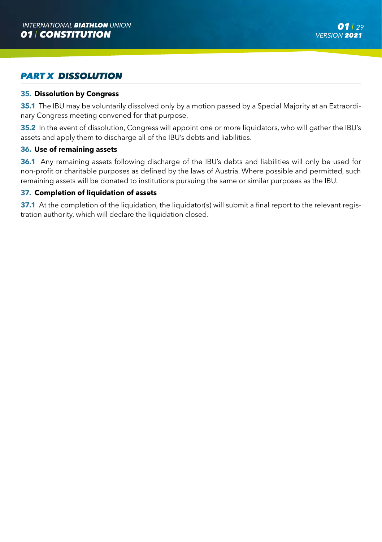# *PART X DISSOLUTION*

### **35. Dissolution by Congress**

**35.1** The IBU may be voluntarily dissolved only by a motion passed by a Special Majority at an Extraordinary Congress meeting convened for that purpose.

**35.2** In the event of dissolution, Congress will appoint one or more liquidators, who will gather the IBU's assets and apply them to discharge all of the IBU's debts and liabilities.

#### **36. Use of remaining assets**

**36.1** Any remaining assets following discharge of the IBU's debts and liabilities will only be used for non-profit or charitable purposes as defined by the laws of Austria. Where possible and permitted, such remaining assets will be donated to institutions pursuing the same or similar purposes as the IBU.

#### **37. Completion of liquidation of assets**

**37.1** At the completion of the liquidation, the liquidator(s) will submit a final report to the relevant registration authority, which will declare the liquidation closed.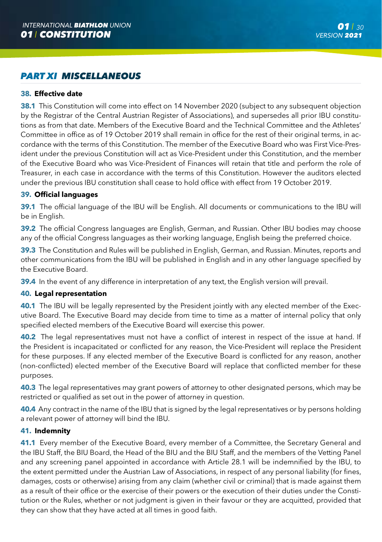# *PART XI MISCELLANEOUS*

# **38. Effective date**

**38.1** This Constitution will come into effect on 14 November 2020 (subject to any subsequent objection by the Registrar of the Central Austrian Register of Associations), and supersedes all prior IBU constitutions as from that date. Members of the Executive Board and the Technical Committee and the Athletes' Committee in office as of 19 October 2019 shall remain in office for the rest of their original terms, in accordance with the terms of this Constitution. The member of the Executive Board who was First Vice-President under the previous Constitution will act as Vice-President under this Constitution, and the member of the Executive Board who was Vice-President of Finances will retain that title and perform the role of Treasurer, in each case in accordance with the terms of this Constitution. However the auditors elected under the previous IBU constitution shall cease to hold office with effect from 19 October 2019.

### **39. Official languages**

**39.1** The official language of the IBU will be English. All documents or communications to the IBU will be in English.

**39.2** The official Congress languages are English, German, and Russian. Other IBU bodies may choose any of the official Congress languages as their working language, English being the preferred choice.

**39.3** The Constitution and Rules will be published in English, German, and Russian. Minutes, reports and other communications from the IBU will be published in English and in any other language specified by the Executive Board.

**39.4** In the event of any difference in interpretation of any text, the English version will prevail.

#### **40. Legal representation**

**40.1** The IBU will be legally represented by the President jointly with any elected member of the Executive Board. The Executive Board may decide from time to time as a matter of internal policy that only specified elected members of the Executive Board will exercise this power.

**40.2** The legal representatives must not have a conflict of interest in respect of the issue at hand. If the President is incapacitated or conflicted for any reason, the Vice-President will replace the President for these purposes. If any elected member of the Executive Board is conflicted for any reason, another (non-conflicted) elected member of the Executive Board will replace that conflicted member for these purposes.

**40.3** The legal representatives may grant powers of attorney to other designated persons, which may be restricted or qualified as set out in the power of attorney in question.

**40.4** Any contract in the name of the IBU that is signed by the legal representatives or by persons holding a relevant power of attorney will bind the IBU.

# **41. Indemnity**

**41.1** Every member of the Executive Board, every member of a Committee, the Secretary General and the IBU Staff, the BIU Board, the Head of the BIU and the BIU Staff, and the members of the Vetting Panel and any screening panel appointed in accordance with Article 28.1 will be indemnified by the IBU, to the extent permitted under the Austrian Law of Associations, in respect of any personal liability (for fines, damages, costs or otherwise) arising from any claim (whether civil or criminal) that is made against them as a result of their office or the exercise of their powers or the execution of their duties under the Constitution or the Rules, whether or not judgment is given in their favour or they are acquitted, provided that they can show that they have acted at all times in good faith.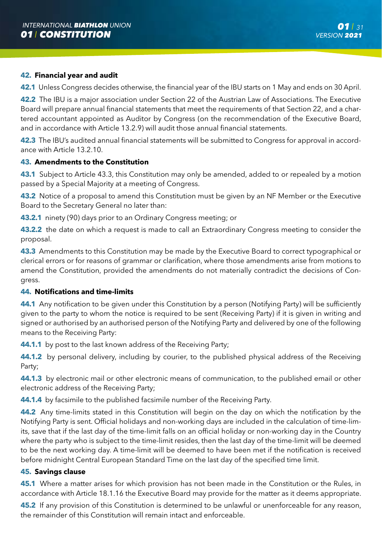#### **42. Financial year and audit**

**42.1** Unless Congress decides otherwise, the financial year of the IBU starts on 1 May and ends on 30 April.

**42.2** The IBU is a major association under Section 22 of the Austrian Law of Associations. The Executive Board will prepare annual financial statements that meet the requirements of that Section 22, and a chartered accountant appointed as Auditor by Congress (on the recommendation of the Executive Board, and in accordance with Article 13.2.9) will audit those annual financial statements.

**42.3** The IBU's audited annual financial statements will be submitted to Congress for approval in accordance with Article 13.2.10.

# **43. Amendments to the Constitution**

**43.1** Subject to Article 43.3, this Constitution may only be amended, added to or repealed by a motion passed by a Special Majority at a meeting of Congress.

**43.2** Notice of a proposal to amend this Constitution must be given by an NF Member or the Executive Board to the Secretary General no later than:

**43.2.1** ninety (90) days prior to an Ordinary Congress meeting; or

**43.2.2** the date on which a request is made to call an Extraordinary Congress meeting to consider the proposal.

**43.3** Amendments to this Constitution may be made by the Executive Board to correct typographical or clerical errors or for reasons of grammar or clarification, where those amendments arise from motions to amend the Constitution, provided the amendments do not materially contradict the decisions of Congress.

#### **44. Notifications and time-limits**

**44.1** Any notification to be given under this Constitution by a person (Notifying Party) will be sufficiently given to the party to whom the notice is required to be sent (Receiving Party) if it is given in writing and signed or authorised by an authorised person of the Notifying Party and delivered by one of the following means to the Receiving Party:

**44.1.1** by post to the last known address of the Receiving Party;

**44.1.2** by personal delivery, including by courier, to the published physical address of the Receiving Party;

**44.1.3** by electronic mail or other electronic means of communication, to the published email or other electronic address of the Receiving Party;

**44.1.4** by facsimile to the published facsimile number of the Receiving Party.

**44.2** Any time-limits stated in this Constitution will begin on the day on which the notification by the Notifying Party is sent. Official holidays and non-working days are included in the calculation of time-limits, save that if the last day of the time-limit falls on an official holiday or non-working day in the Country where the party who is subject to the time-limit resides, then the last day of the time-limit will be deemed to be the next working day. A time-limit will be deemed to have been met if the notification is received before midnight Central European Standard Time on the last day of the specified time limit.

# **45. Savings clause**

**45.1** Where a matter arises for which provision has not been made in the Constitution or the Rules, in accordance with Article 18.1.16 the Executive Board may provide for the matter as it deems appropriate.

**45.2** If any provision of this Constitution is determined to be unlawful or unenforceable for any reason, the remainder of this Constitution will remain intact and enforceable.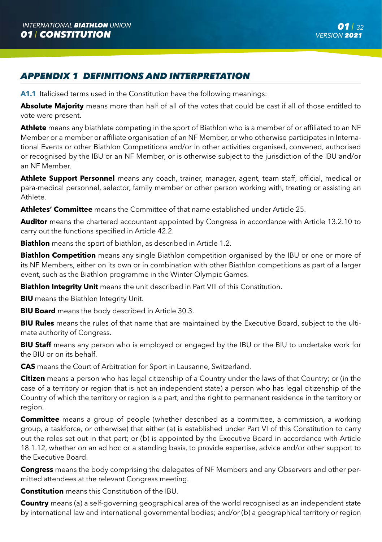# *APPENDIX 1 DEFINITIONS AND INTERPRETATION*

**A1.1** Italicised terms used in the Constitution have the following meanings:

**Absolute Majority** means more than half of all of the votes that could be cast if all of those entitled to vote were present.

**Athlete** means any biathlete competing in the sport of Biathlon who is a member of or affiliated to an NF Member or a member or affiliate organisation of an NF Member, or who otherwise participates in International Events or other Biathlon Competitions and/or in other activities organised, convened, authorised or recognised by the IBU or an NF Member, or is otherwise subject to the jurisdiction of the IBU and/or an NF Member.

**Athlete Support Personnel** means any coach, trainer, manager, agent, team staff, official, medical or para-medical personnel, selector, family member or other person working with, treating or assisting an Athlete.

**Athletes' Committee** means the Committee of that name established under Article 25.

**Auditor** means the chartered accountant appointed by Congress in accordance with Article 13.2.10 to carry out the functions specified in Article 42.2.

**Biathlon** means the sport of biathlon, as described in Article 1.2.

**Biathlon Competition** means any single Biathlon competition organised by the IBU or one or more of its NF Members, either on its own or in combination with other Biathlon competitions as part of a larger event, such as the Biathlon programme in the Winter Olympic Games.

**Biathlon Integrity Unit** means the unit described in Part VIII of this Constitution.

**BIU** means the Biathlon Integrity Unit.

**BIU Board** means the body described in Article 30.3.

**BIU Rules** means the rules of that name that are maintained by the Executive Board, subject to the ultimate authority of Congress.

**BIU Staff** means any person who is employed or engaged by the IBU or the BIU to undertake work for the BIU or on its behalf.

**CAS** means the Court of Arbitration for Sport in Lausanne, Switzerland.

**Citizen** means a person who has legal citizenship of a Country under the laws of that Country; or (in the case of a territory or region that is not an independent state) a person who has legal citizenship of the Country of which the territory or region is a part, and the right to permanent residence in the territory or region.

**Committee** means a group of people (whether described as a committee, a commission, a working group, a taskforce, or otherwise) that either (a) is established under Part VI of this Constitution to carry out the roles set out in that part; or (b) is appointed by the Executive Board in accordance with Article 18.1.12, whether on an ad hoc or a standing basis, to provide expertise, advice and/or other support to the Executive Board.

**Congress** means the body comprising the delegates of NF Members and any Observers and other permitted attendees at the relevant Congress meeting.

**Constitution** means this Constitution of the IBU.

**Country** means (a) a self-governing geographical area of the world recognised as an independent state by international law and international governmental bodies; and/or (b) a geographical territory or region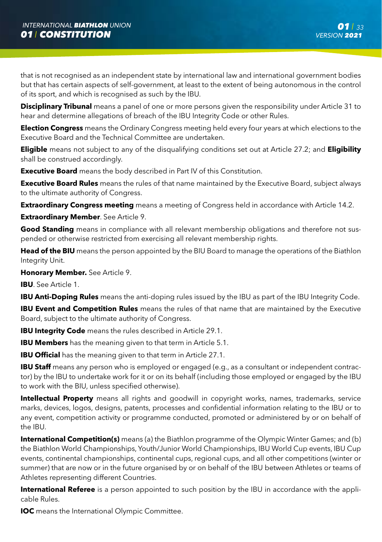that is not recognised as an independent state by international law and international government bodies but that has certain aspects of self-government, at least to the extent of being autonomous in the control of its sport, and which is recognised as such by the IBU.

**Disciplinary Tribunal** means a panel of one or more persons given the responsibility under Article 31 to hear and determine allegations of breach of the IBU Integrity Code or other Rules.

**Election Congress** means the Ordinary Congress meeting held every four years at which elections to the Executive Board and the Technical Committee are undertaken.

**Eligible** means not subject to any of the disqualifying conditions set out at Article 27.2; and **Eligibility**  shall be construed accordingly.

**Executive Board** means the body described in Part IV of this Constitution.

**Executive Board Rules** means the rules of that name maintained by the Executive Board, subject always to the ultimate authority of Congress.

**Extraordinary Congress meeting** means a meeting of Congress held in accordance with Article 14.2.

**Extraordinary Member**. See Article 9.

**Good Standing** means in compliance with all relevant membership obligations and therefore not suspended or otherwise restricted from exercising all relevant membership rights.

**Head of the BIU** means the person appointed by the BIU Board to manage the operations of the Biathlon Integrity Unit.

**Honorary Member.** See Article 9.

**IBU**. See Article 1.

**IBU Anti-Doping Rules** means the anti-doping rules issued by the IBU as part of the IBU Integrity Code.

**IBU Event and Competition Rules** means the rules of that name that are maintained by the Executive Board, subject to the ultimate authority of Congress.

**IBU Integrity Code** means the rules described in Article 29.1.

**IBU Members** has the meaning given to that term in Article 5.1.

**IBU Official** has the meaning given to that term in Article 27.1.

**IBU Staff** means any person who is employed or engaged (e.g., as a consultant or independent contractor) by the IBU to undertake work for it or on its behalf (including those employed or engaged by the IBU to work with the BIU, unless specified otherwise).

**Intellectual Property** means all rights and goodwill in copyright works, names, trademarks, service marks, devices, logos, designs, patents, processes and confidential information relating to the IBU or to any event, competition activity or programme conducted, promoted or administered by or on behalf of the IBU.

**International Competition(s)** means (a) the Biathlon programme of the Olympic Winter Games; and (b) the Biathlon World Championships, Youth/Junior World Championships, IBU World Cup events, IBU Cup events, continental championships, continental cups, regional cups, and all other competitions (winter or summer) that are now or in the future organised by or on behalf of the IBU between Athletes or teams of Athletes representing different Countries.

**International Referee** is a person appointed to such position by the IBU in accordance with the applicable Rules.

**IOC** means the International Olympic Committee.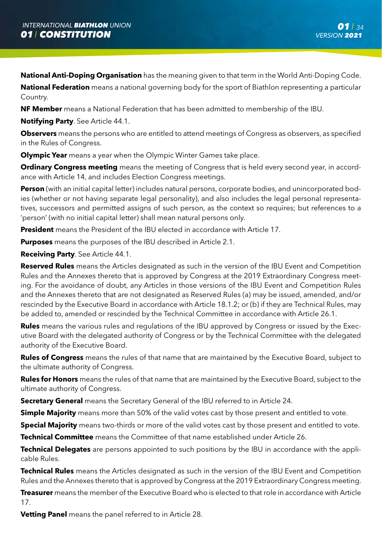**National Anti-Doping Organisation** has the meaning given to that term in the World Anti-Doping Code.

**National Federation** means a national governing body for the sport of Biathlon representing a particular Country.

**NF Member** means a National Federation that has been admitted to membership of the IBU.

**Notifying Party**. See Article 44.1.

**Observers** means the persons who are entitled to attend meetings of Congress as observers, as specified in the Rules of Congress.

**Olympic Year** means a year when the Olympic Winter Games take place.

**Ordinary Congress meeting** means the meeting of Congress that is held every second year, in accordance with Article 14, and includes Election Congress meetings.

**Person** (with an initial capital letter) includes natural persons, corporate bodies, and unincorporated bodies (whether or not having separate legal personality), and also includes the legal personal representatives, successors and permitted assigns of such person, as the context so requires; but references to a 'person' (with no initial capital letter) shall mean natural persons only.

**President** means the President of the IBU elected in accordance with Article 17.

**Purposes** means the purposes of the IBU described in Article 2.1.

**Receiving Party**. See Article 44.1.

**Reserved Rules** means the Articles designated as such in the version of the IBU Event and Competition Rules and the Annexes thereto that is approved by Congress at the 2019 Extraordinary Congress meeting. For the avoidance of doubt, any Articles in those versions of the IBU Event and Competition Rules and the Annexes thereto that are not designated as Reserved Rules (a) may be issued, amended, and/or rescinded by the Executive Board in accordance with Article 18.1.2; or (b) if they are Technical Rules, may be added to, amended or rescinded by the Technical Committee in accordance with Article 26.1.

**Rules** means the various rules and regulations of the IBU approved by Congress or issued by the Executive Board with the delegated authority of Congress or by the Technical Committee with the delegated authority of the Executive Board.

**Rules of Congress** means the rules of that name that are maintained by the Executive Board, subject to the ultimate authority of Congress.

**Rules for Honors** means the rules of that name that are maintained by the Executive Board, subject to the ultimate authority of Congress.

**Secretary General** means the Secretary General of the IBU referred to in Article 24.

**Simple Majority** means more than 50% of the valid votes cast by those present and entitled to vote.

**Special Majority** means two-thirds or more of the valid votes cast by those present and entitled to vote.

**Technical Committee** means the Committee of that name established under Article 26.

**Technical Delegates** are persons appointed to such positions by the IBU in accordance with the applicable Rules.

**Technical Rules** means the Articles designated as such in the version of the IBU Event and Competition Rules and the Annexes thereto that is approved by Congress at the 2019 Extraordinary Congress meeting.

**Treasurer** means the member of the Executive Board who is elected to that role in accordance with Article 17.

**Vetting Panel** means the panel referred to in Article 28.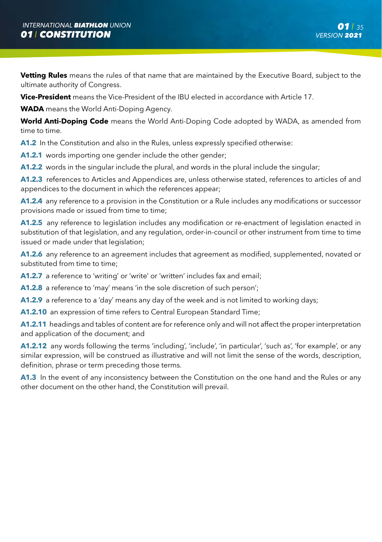**Vetting Rules** means the rules of that name that are maintained by the Executive Board, subject to the ultimate authority of Congress.

**Vice-President** means the Vice-President of the IBU elected in accordance with Article 17.

**WADA** means the World Anti-Doping Agency.

**World Anti-Doping Code** means the World Anti-Doping Code adopted by WADA, as amended from time to time.

**A1.2** In the Constitution and also in the Rules, unless expressly specified otherwise:

**A1.2.1** words importing one gender include the other gender;

**A1.2.2** words in the singular include the plural, and words in the plural include the singular;

**A1.2.3** references to Articles and Appendices are, unless otherwise stated, references to articles of and appendices to the document in which the references appear;

**A1.2.4** any reference to a provision in the Constitution or a Rule includes any modifications or successor provisions made or issued from time to time;

**A1.2.5** any reference to legislation includes any modification or re-enactment of legislation enacted in substitution of that legislation, and any regulation, order-in-council or other instrument from time to time issued or made under that legislation;

**A1.2.6** any reference to an agreement includes that agreement as modified, supplemented, novated or substituted from time to time:

**A1.2.7** a reference to 'writing' or 'write' or 'written' includes fax and email;

**A1.2.8** a reference to 'may' means 'in the sole discretion of such person';

**A1.2.9** a reference to a 'day' means any day of the week and is not limited to working days;

**A1.2.10** an expression of time refers to Central European Standard Time;

**A1.2.11** headings and tables of content are for reference only and will not affect the proper interpretation and application of the document; and

**A1.2.12** any words following the terms 'including', 'include', 'in particular', 'such as', 'for example', or any similar expression, will be construed as illustrative and will not limit the sense of the words, description, definition, phrase or term preceding those terms.

**A1.3** In the event of any inconsistency between the Constitution on the one hand and the Rules or any other document on the other hand, the Constitution will prevail.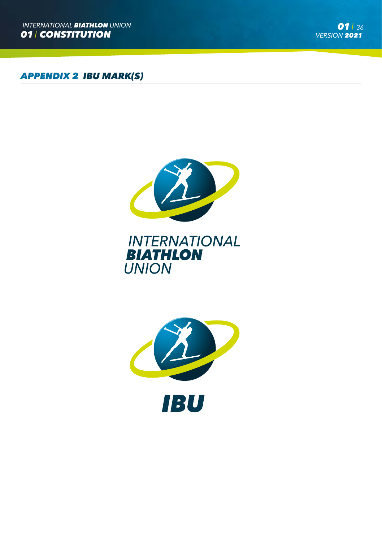*APPENDIX 2 IBU MARK(S)*



# **INTERNATIONAL BIATHLON UNION**

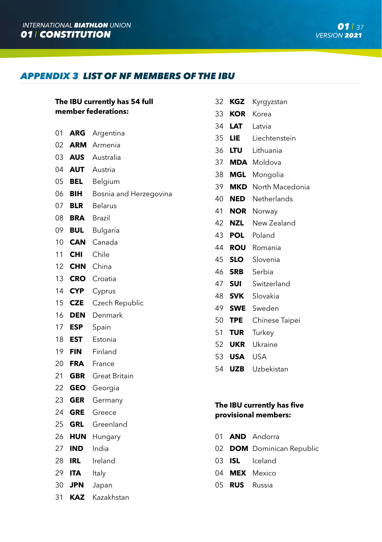# *APPENDIX 3 LIST OF NF MEMBERS OF THE IBU*

|    | 32<br><b>KGZ</b><br>The IBU currently has 54 full |                        |    |            |
|----|---------------------------------------------------|------------------------|----|------------|
|    | member federations:                               |                        |    | <b>KOR</b> |
|    |                                                   |                        | 34 | <b>LAT</b> |
| 01 | <b>ARG</b>                                        | Argentina              | 35 | <b>LIE</b> |
| 02 | ARM                                               | Armenia                | 36 | <b>LTU</b> |
| 03 | <b>AUS</b>                                        | Australia              | 37 | <b>MDA</b> |
| 04 | <b>AUT</b>                                        | Austria                | 38 | <b>MGL</b> |
| 05 | <b>BEL</b>                                        | Belgium                | 39 | <b>MKD</b> |
| 06 | BIH                                               | Bosnia and Herzegovina | 40 | <b>NED</b> |
| 07 | <b>BLR</b>                                        | <b>Belarus</b>         | 41 | <b>NOR</b> |
| 08 | <b>BRA</b>                                        | Brazil                 | 42 | <b>NZL</b> |
| 09 | <b>BUL</b>                                        | Bulgaria               | 43 | <b>POL</b> |
| 10 | <b>CAN</b>                                        | Canada                 | 44 | <b>ROU</b> |
| 11 | <b>CHI</b>                                        | Chile                  | 45 | <b>SLO</b> |
| 12 | <b>CHN</b>                                        | China                  | 46 | <b>SRB</b> |
| 13 | <b>CRO</b>                                        | Croatia                | 47 | <b>SUI</b> |
| 14 | <b>CYP</b>                                        | Cyprus                 | 48 | <b>SVK</b> |
| 15 | <b>CZE</b>                                        | Czech Republic         | 49 | <b>SWE</b> |
| 16 | <b>DEN</b>                                        | Denmark                | 50 | <b>TPE</b> |
| 17 | <b>ESP</b>                                        | Spain                  | 51 | <b>TUR</b> |
| 18 | <b>EST</b>                                        | Estonia                | 52 | <b>UKR</b> |
| 19 | <b>FIN</b>                                        | Finland                | 53 | <b>USA</b> |
| 20 | <b>FRA</b>                                        | France                 | 54 | <b>UZB</b> |
| 21 | <b>GBR</b>                                        | <b>Great Britain</b>   |    |            |
| 22 | <b>GEO</b>                                        | Georgia                |    |            |
| 23 | <b>GER</b>                                        | Germany                |    | The IBU cu |
| 24 | <b>GRE</b>                                        | Greece                 |    | provisiona |
| 25 | <b>GRL</b>                                        | Greenland              |    |            |
| 26 | <b>HUN</b>                                        | Hungary                | 01 | <b>AND</b> |
| 27 | <b>IND</b>                                        | India                  | 02 | <b>DOM</b> |
| 28 | <b>IRL</b>                                        | Ireland                | 03 | <b>ISL</b> |
| 29 | <b>ITA</b>                                        | Italy                  | 04 | <b>MEX</b> |
| 30 | <b>JPN</b>                                        | Japan                  | 05 | <b>RUS</b> |
| 31 | <b>KAZ</b>                                        | Kazakhstan             |    |            |

| 32 - | KGZ        | Kyrgyzstan                |
|------|------------|---------------------------|
|      | 33 KOR     | Korea                     |
|      | 34 LAT     | Latvia                    |
|      | 35 LIE     | Liechtenstein             |
|      | 36 LTU -   | Lithuania                 |
|      |            | 37 MDA Moldova            |
|      |            | 38 MGL Mongolia           |
|      |            | 39 MKD North Macedonia    |
|      |            | 40 <b>NED</b> Netherlands |
| 41   |            | <b>NOR</b> Norway         |
|      |            | 42 <b>NZL</b> New Zealand |
|      |            | 43 POL Poland             |
| 44   |            | <b>ROU</b> Romania        |
|      |            | 45 <b>SLO</b> Slovenia    |
|      |            | 46 SRB Serbia             |
|      |            | 47 <b>SUI</b> Switzerland |
|      |            | 48 <b>SVK</b> Slovakia    |
|      |            | 49 SWE Sweden             |
| 50   | <b>TPE</b> | Chinese Taipei            |
|      | 51 TUR     | Turkey                    |
|      |            | 52 UKR Ukraine            |
|      | 53 USA USA |                           |
| 54   | <b>UZB</b> | Uzbekistan                |

# **The IBU currently has five provisional members:**

|                      | 01 AND Andorra            |
|----------------------|---------------------------|
|                      | 02 DOM Dominican Republic |
|                      | 03 ISL Iceland            |
|                      | 04 MEX Mexico             |
| 05 <b>RUS</b> Russia |                           |
|                      |                           |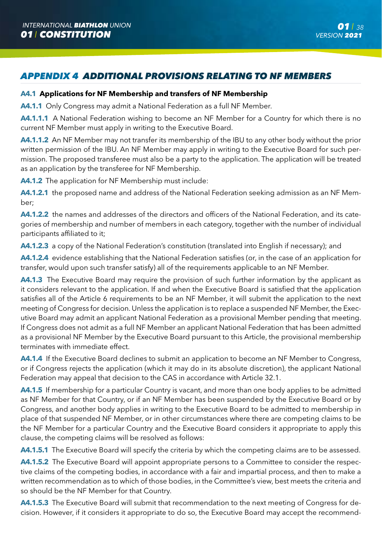# *APPENDIX 4 ADDITIONAL PROVISIONS RELATING TO NF MEMBERS*

# **A4.1 Applications for NF Membership and transfers of NF Membership**

**A4.1.1** Only Congress may admit a National Federation as a full NF Member.

**A4.1.1.1** A National Federation wishing to become an NF Member for a Country for which there is no current NF Member must apply in writing to the Executive Board.

**A4.1.1.2** An NF Member may not transfer its membership of the IBU to any other body without the prior written permission of the IBU. An NF Member may apply in writing to the Executive Board for such permission. The proposed transferee must also be a party to the application. The application will be treated as an application by the transferee for NF Membership.

**A4.1.2** The application for NF Membership must include:

**A4.1.2.1** the proposed name and address of the National Federation seeking admission as an NF Member;

**A4.1.2.2** the names and addresses of the directors and officers of the National Federation, and its categories of membership and number of members in each category, together with the number of individual participants affiliated to it;

**A4.1.2.3** a copy of the National Federation's constitution (translated into English if necessary); and

**A4.1.2.4** evidence establishing that the National Federation satisfies (or, in the case of an application for transfer, would upon such transfer satisfy) all of the requirements applicable to an NF Member.

**A4.1.3** The Executive Board may require the provision of such further information by the applicant as it considers relevant to the application. If and when the Executive Board is satisfied that the application satisfies all of the Article 6 requirements to be an NF Member, it will submit the application to the next meeting of Congress for decision. Unless the application is to replace a suspended NF Member, the Executive Board may admit an applicant National Federation as a provisional Member pending that meeting. If Congress does not admit as a full NF Member an applicant National Federation that has been admitted as a provisional NF Member by the Executive Board pursuant to this Article, the provisional membership terminates with immediate effect.

**A4.1.4** If the Executive Board declines to submit an application to become an NF Member to Congress, or if Congress rejects the application (which it may do in its absolute discretion), the applicant National Federation may appeal that decision to the CAS in accordance with Article 32.1.

**A4.1.5** If membership for a particular Country is vacant, and more than one body applies to be admitted as NF Member for that Country, or if an NF Member has been suspended by the Executive Board or by Congress, and another body applies in writing to the Executive Board to be admitted to membership in place of that suspended NF Member, or in other circumstances where there are competing claims to be the NF Member for a particular Country and the Executive Board considers it appropriate to apply this clause, the competing claims will be resolved as follows:

**A4.1.5.1** The Executive Board will specify the criteria by which the competing claims are to be assessed.

**A4.1.5.2** The Executive Board will appoint appropriate persons to a Committee to consider the respective claims of the competing bodies, in accordance with a fair and impartial process, and then to make a written recommendation as to which of those bodies, in the Committee's view, best meets the criteria and so should be the NF Member for that Country.

**A4.1.5.3** The Executive Board will submit that recommendation to the next meeting of Congress for decision. However, if it considers it appropriate to do so, the Executive Board may accept the recommend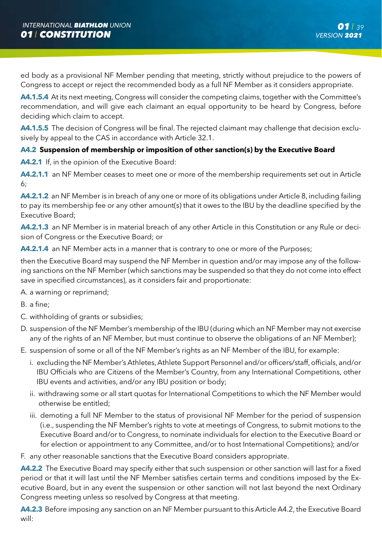ed body as a provisional NF Member pending that meeting, strictly without prejudice to the powers of Congress to accept or reject the recommended body as a full NF Member as it considers appropriate.

**A4.1.5.4** At its next meeting, Congress will consider the competing claims, together with the Committee's recommendation, and will give each claimant an equal opportunity to be heard by Congress, before deciding which claim to accept.

**A4.1.5.5** The decision of Congress will be final. The rejected claimant may challenge that decision exclusively by appeal to the CAS in accordance with Article 32.1.

# **A4.2 Suspension of membership or imposition of other sanction(s) by the Executive Board**

**A4.2.1** If, in the opinion of the Executive Board:

**A4.2.1.1** an NF Member ceases to meet one or more of the membership requirements set out in Article 6;

**A4.2.1.2** an NF Member is in breach of any one or more of its obligations under Article 8, including failing to pay its membership fee or any other amount(s) that it owes to the IBU by the deadline specified by the Executive Board;

**A4.2.1.3** an NF Member is in material breach of any other Article in this Constitution or any Rule or decision of Congress or the Executive Board; or

**A4.2.1.4** an NF Member acts in a manner that is contrary to one or more of the Purposes;

then the Executive Board may suspend the NF Member in question and/or may impose any of the following sanctions on the NF Member (which sanctions may be suspended so that they do not come into effect save in specified circumstances), as it considers fair and proportionate:

A. a warning or reprimand;

B. a fine;

- C. withholding of grants or subsidies;
- D. suspension of the NF Member's membership of the IBU (during which an NF Member may not exercise any of the rights of an NF Member, but must continue to observe the obligations of an NF Member);
- E. suspension of some or all of the NF Member's rights as an NF Member of the IBU, for example:
	- i. excluding the NF Member's Athletes, Athlete Support Personnel and/or officers/staff, officials, and/or IBU Officials who are Citizens of the Member's Country, from any International Competitions, other IBU events and activities, and/or any IBU position or body;
	- ii. withdrawing some or all start quotas for International Competitions to which the NF Member would otherwise be entitled;
	- iii. demoting a full NF Member to the status of provisional NF Member for the period of suspension (i.e., suspending the NF Member's rights to vote at meetings of Congress, to submit motions to the Executive Board and/or to Congress, to nominate individuals for election to the Executive Board or for election or appointment to any Committee, and/or to host International Competitions); and/or

F. any other reasonable sanctions that the Executive Board considers appropriate.

**A4.2.2** The Executive Board may specify either that such suspension or other sanction will last for a fixed period or that it will last until the NF Member satisfies certain terms and conditions imposed by the Executive Board, but in any event the suspension or other sanction will not last beyond the next Ordinary Congress meeting unless so resolved by Congress at that meeting.

**A4.2.3** Before imposing any sanction on an NF Member pursuant to this Article A4.2, the Executive Board will: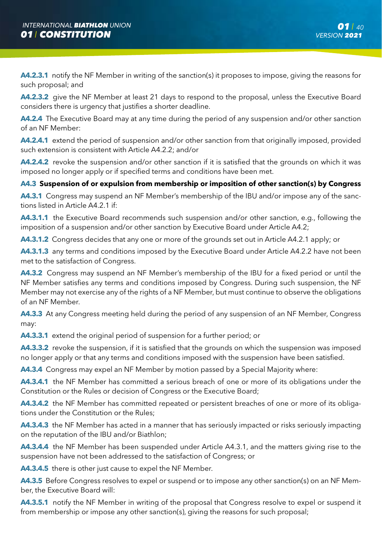**A4.2.3.1** notify the NF Member in writing of the sanction(s) it proposes to impose, giving the reasons for such proposal; and

**A4.2.3.2** give the NF Member at least 21 days to respond to the proposal, unless the Executive Board considers there is urgency that justifies a shorter deadline.

**A4.2.4** The Executive Board may at any time during the period of any suspension and/or other sanction of an NF Member:

**A4.2.4.1** extend the period of suspension and/or other sanction from that originally imposed, provided such extension is consistent with Article A4.2.2; and/or

**A4.2.4.2** revoke the suspension and/or other sanction if it is satisfied that the grounds on which it was imposed no longer apply or if specified terms and conditions have been met.

# **A4.3 Suspension of or expulsion from membership or imposition of other sanction(s) by Congress**

**A4.3.1** Congress may suspend an NF Member's membership of the IBU and/or impose any of the sanctions listed in Article A4.2.1 if:

**A4.3.1.1** the Executive Board recommends such suspension and/or other sanction, e.g., following the imposition of a suspension and/or other sanction by Executive Board under Article A4.2;

**A4.3.1.2** Congress decides that any one or more of the grounds set out in Article A4.2.1 apply; or

**A4.3.1.3** any terms and conditions imposed by the Executive Board under Article A4.2.2 have not been met to the satisfaction of Congress.

**A4.3.2** Congress may suspend an NF Member's membership of the IBU for a fixed period or until the NF Member satisfies any terms and conditions imposed by Congress. During such suspension, the NF Member may not exercise any of the rights of a NF Member, but must continue to observe the obligations of an NF Member.

**A4.3.3** At any Congress meeting held during the period of any suspension of an NF Member, Congress may:

**A4.3.3.1** extend the original period of suspension for a further period; or

**A4.3.3.2** revoke the suspension, if it is satisfied that the grounds on which the suspension was imposed no longer apply or that any terms and conditions imposed with the suspension have been satisfied.

**A4.3.4** Congress may expel an NF Member by motion passed by a Special Majority where:

**A4.3.4.1** the NF Member has committed a serious breach of one or more of its obligations under the Constitution or the Rules or decision of Congress or the Executive Board;

**A4.3.4.2** the NF Member has committed repeated or persistent breaches of one or more of its obligations under the Constitution or the Rules;

**A4.3.4.3** the NF Member has acted in a manner that has seriously impacted or risks seriously impacting on the reputation of the IBU and/or Biathlon;

**A4.3.4.4** the NF Member has been suspended under Article A4.3.1, and the matters giving rise to the suspension have not been addressed to the satisfaction of Congress; or

**A4.3.4.5** there is other just cause to expel the NF Member.

**A4.3.5** Before Congress resolves to expel or suspend or to impose any other sanction(s) on an NF Member, the Executive Board will:

**A4.3.5.1** notify the NF Member in writing of the proposal that Congress resolve to expel or suspend it from membership or impose any other sanction(s), giving the reasons for such proposal;